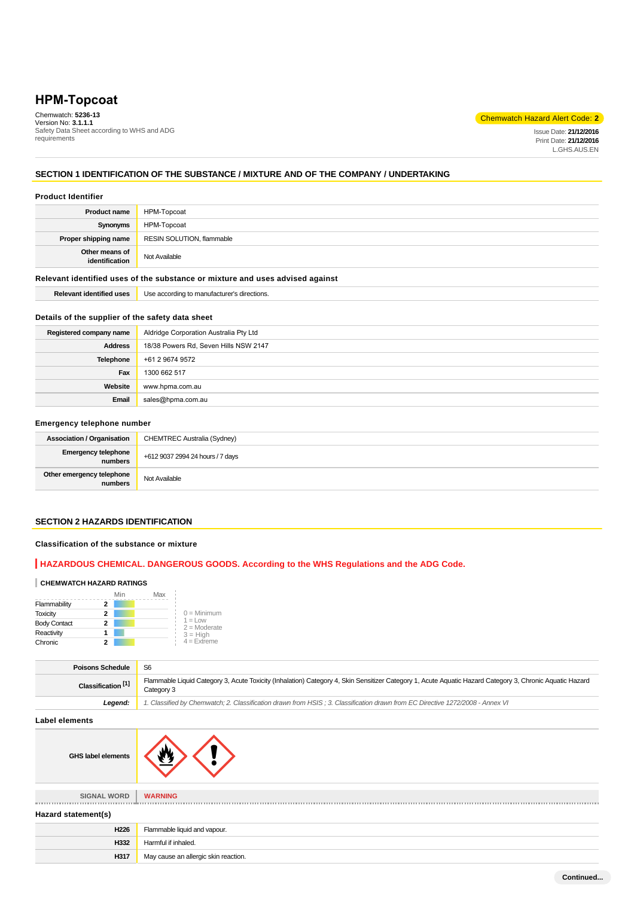# **HPM-Topcoat**

Chemwatch: **5236-13** Version No: **3.1.1.1** Safety Data Sheet according to WHS and ADG requirements

### Chemwatch Hazard Alert Code: **2**

Issue Date: **21/12/2016** Print Date: **21/12/2016** L.GHS.AUS.EN

## **SECTION 1 IDENTIFICATION OF THE SUBSTANCE / MIXTURE AND OF THE COMPANY / UNDERTAKING**

### **Product Identifier**

| <b>Product name</b>                                                           | HPM-Topcoat                                 |  |
|-------------------------------------------------------------------------------|---------------------------------------------|--|
| Synonyms                                                                      | HPM-Topcoat                                 |  |
| Proper shipping name                                                          | RESIN SOLUTION, flammable                   |  |
| Other means of<br>identification                                              | Not Available                               |  |
| Relevant identified uses of the substance or mixture and uses advised against |                                             |  |
| <b>Relevant identified uses</b>                                               | Use according to manufacturer's directions. |  |

### **Details of the supplier of the safety data sheet**

| Registered company name | Aldridge Corporation Australia Pty Ltd |  |
|-------------------------|----------------------------------------|--|
| <b>Address</b>          | 18/38 Powers Rd, Seven Hills NSW 2147  |  |
| <b>Telephone</b>        | +61 2 9674 9572                        |  |
| Fax                     | 1300 662 517                           |  |
| Website                 | www.hpma.com.au                        |  |
| Email                   | sales@hpma.com.au                      |  |

### **Emergency telephone number**

| <b>Association / Organisation</b>    | CHEMTREC Australia (Sydney)      |
|--------------------------------------|----------------------------------|
| Emergency telephone<br>numbers       | +612 9037 2994 24 hours / 7 days |
| Other emergency telephone<br>numbers | Not Available                    |

### **SECTION 2 HAZARDS IDENTIFICATION**

### **Classification of the substance or mixture**

### **HAZARDOUS CHEMICAL. DANGEROUS GOODS. According to the WHS Regulations and the ADG Code.**

#### **CHEMWATCH HAZARD RATINGS**

|                     | Min | Max |                              |
|---------------------|-----|-----|------------------------------|
| Flammability        | 2   |     |                              |
| <b>Toxicity</b>     | 2   |     | $0 =$ Minimum                |
| <b>Body Contact</b> | 2   |     | $1 = 1$ ow<br>$2 =$ Moderate |
| Reactivity          |     |     | $3 = High$                   |
| Chronic             |     |     | $4 =$ Extreme                |

| <b>Poisons Schedule</b>       | S <sub>6</sub>                                                                                                                                                         |
|-------------------------------|------------------------------------------------------------------------------------------------------------------------------------------------------------------------|
| Classification <sup>[1]</sup> | Flammable Liquid Category 3, Acute Toxicity (Inhalation) Category 4, Skin Sensitizer Category 1, Acute Aquatic Hazard Category 3, Chronic Aquatic Hazard<br>Category 3 |
| Leaend:                       | 1. Classified by Chemwatch; 2. Classification drawn from HSIS ; 3. Classification drawn from EC Directive 1272/2008 - Annex VI                                         |

#### **Label elements**

| <b>GHS label elements</b> |  |
|---------------------------|--|
|                           |  |

| <b>SIGNAL WORD</b>  | <b>WARNING</b>                       |
|---------------------|--------------------------------------|
| Hazard statement(s) |                                      |
| H226                | Flammable liquid and vapour.         |
| H332                | Harmful if inhaled.                  |
| H317                | May cause an allergic skin reaction. |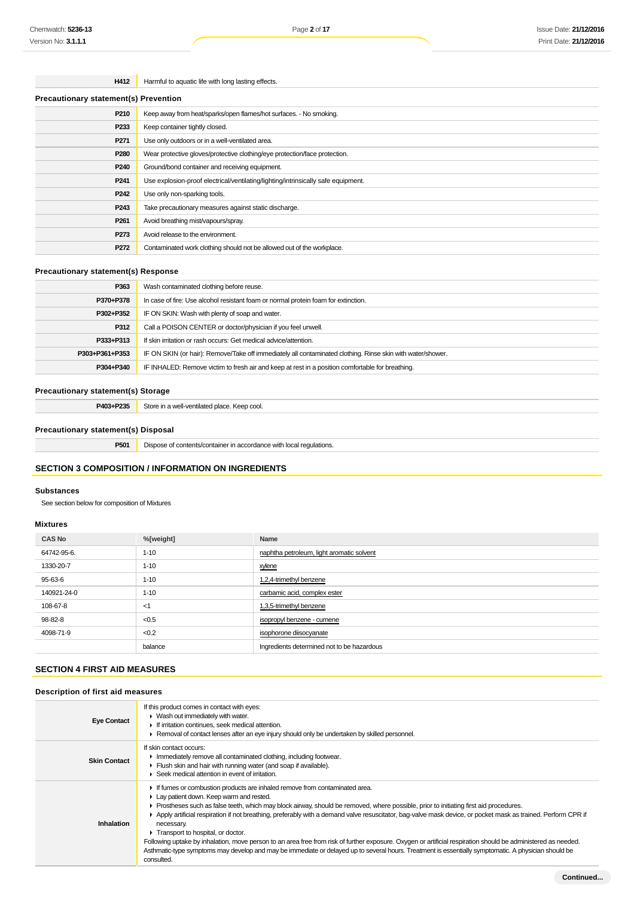### **H412** Harmful to aquatic life with long lasting effects.

| <b>Precautionary statement(s) Prevention</b> |                                                                                   |  |
|----------------------------------------------|-----------------------------------------------------------------------------------|--|
| P210                                         | Keep away from heat/sparks/open flames/hot surfaces. - No smoking.                |  |
| P233                                         | Keep container tightly closed.                                                    |  |
| P <sub>271</sub>                             | Use only outdoors or in a well-ventilated area.                                   |  |
| P <sub>280</sub>                             | Wear protective gloves/protective clothing/eye protection/face protection.        |  |
| P240                                         | Ground/bond container and receiving equipment.                                    |  |
| P <sub>241</sub>                             | Use explosion-proof electrical/ventilating/lighting/intrinsically safe equipment. |  |
| P <sub>242</sub>                             | Use only non-sparking tools.                                                      |  |
| P <sub>243</sub>                             | Take precautionary measures against static discharge.                             |  |
| P <sub>261</sub>                             | Avoid breathing mist/vapours/spray.                                               |  |
| P273                                         | Avoid release to the environment.                                                 |  |
| P272                                         | Contaminated work clothing should not be allowed out of the workplace.            |  |

### **Precautionary statement(s) Response**

| P363           | Wash contaminated clothing before reuse.                                                                   |
|----------------|------------------------------------------------------------------------------------------------------------|
| P370+P378      | In case of fire: Use alcohol resistant foam or normal protein foam for extinction.                         |
| P302+P352      | IF ON SKIN: Wash with plenty of soap and water.                                                            |
| P312           | Call a POISON CENTER or doctor/physician if you feel unwell.                                               |
| P333+P313      | If skin irritation or rash occurs: Get medical advice/attention.                                           |
| P303+P361+P353 | IF ON SKIN (or hair): Remove/Take off immediately all contaminated clothing. Rinse skin with water/shower. |
| P304+P340      | IF INHALED: Remove victim to fresh air and keep at rest in a position comfortable for breathing.           |

### **Precautionary statement(s) Storage**

**P403+P235** Store in a well-ventilated place. Keep cool.

### **Precautionary statement(s) Disposal**

**P501** Dispose of contents/container in accordance with local regulations.

### **SECTION 3 COMPOSITION / INFORMATION ON INGREDIENTS**

### **Substances**

See section below for composition of Mixtures

### **Mixtures**

| <b>CAS No</b> | %[weight] | Name                                       |
|---------------|-----------|--------------------------------------------|
| 64742-95-6.   | $1 - 10$  | naphtha petroleum, light aromatic solvent  |
| 1330-20-7     | $1 - 10$  | xylene                                     |
| 95-63-6       | $1 - 10$  | 1,2,4-trimethyl benzene                    |
| 140921-24-0   | $1 - 10$  | carbamic acid, complex ester               |
| 108-67-8      | <1        | 1,3,5-trimethyl benzene                    |
| 98-82-8       | < 0.5     | isopropyl benzene - cumene                 |
| 4098-71-9     | < 0.2     | isophorone diisocyanate                    |
|               | balance   | Ingredients determined not to be hazardous |

### **SECTION 4 FIRST AID MEASURES**

### **Description of first aid measures**

| <b>Eye Contact</b>  | If this product comes in contact with eyes:<br>$\blacktriangleright$ Wash out immediately with water.<br>If irritation continues, seek medical attention.<br>Removal of contact lenses after an eye injury should only be undertaken by skilled personnel.                                                                                                                                                                                                                                                                                                                                                                                                                                                                                                                                                                |
|---------------------|---------------------------------------------------------------------------------------------------------------------------------------------------------------------------------------------------------------------------------------------------------------------------------------------------------------------------------------------------------------------------------------------------------------------------------------------------------------------------------------------------------------------------------------------------------------------------------------------------------------------------------------------------------------------------------------------------------------------------------------------------------------------------------------------------------------------------|
| <b>Skin Contact</b> | If skin contact occurs:<br>In mediately remove all contaminated clothing, including footwear.<br>Flush skin and hair with running water (and soap if available).<br>Seek medical attention in event of irritation.                                                                                                                                                                                                                                                                                                                                                                                                                                                                                                                                                                                                        |
| Inhalation          | If fumes or combustion products are inhaled remove from contaminated area.<br>Lay patient down. Keep warm and rested.<br>► Prostheses such as false teeth, which may block airway, should be removed, where possible, prior to initiating first aid procedures.<br>Apply artificial respiration if not breathing, preferably with a demand valve resuscitator, bag-valve mask device, or pocket mask as trained. Perform CPR if<br>necessary.<br>Transport to hospital, or doctor.<br>Following uptake by inhalation, move person to an area free from risk of further exposure. Oxygen or artificial respiration should be administered as needed.<br>Asthmatic-type symptoms may develop and may be immediate or delayed up to several hours. Treatment is essentially symptomatic. A physician should be<br>consulted. |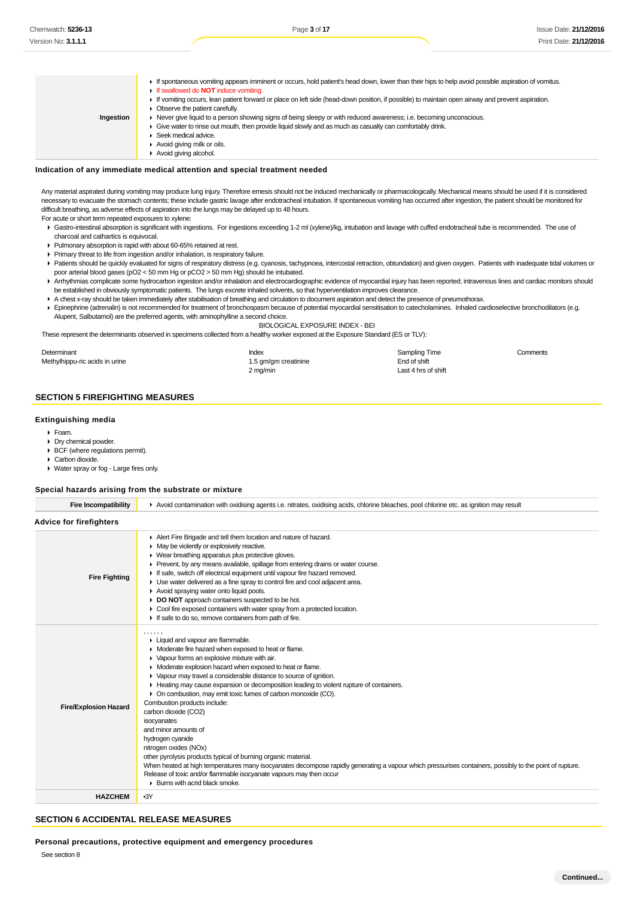| Ingestion | If spontaneous vomiting appears imminent or occurs, hold patient's head down, lower than their hips to help avoid possible aspiration of vomitus.<br>If swallowed do <b>NOT</b> induce vomiting.<br>If vomiting occurs, lean patient forward or place on left side (head-down position, if possible) to maintain open airway and prevent aspiration.<br>• Observe the patient carefully.<br>► Never give liquid to a person showing signs of being sleepy or with reduced awareness; i.e. becoming unconscious.<br>• Give water to rinse out mouth, then provide liquid slowly and as much as casualty can comfortably drink. |
|-----------|-------------------------------------------------------------------------------------------------------------------------------------------------------------------------------------------------------------------------------------------------------------------------------------------------------------------------------------------------------------------------------------------------------------------------------------------------------------------------------------------------------------------------------------------------------------------------------------------------------------------------------|
|           | Seek medical advice.<br>Avoid giving milk or oils.                                                                                                                                                                                                                                                                                                                                                                                                                                                                                                                                                                            |
|           | Avoid giving alcohol.                                                                                                                                                                                                                                                                                                                                                                                                                                                                                                                                                                                                         |

#### **Indication of any immediate medical attention and special treatment needed**

Any material aspirated during vomiting may produce lung injury. Therefore emesis should not be induced mechanically or pharmacologically. Mechanical means should be used if it is considered necessary to evacuate the stomach contents; these include gastric lavage after endotracheal intubation. If spontaneous vomiting has occurred after ingestion, the patient should be monitored for difficult breathing, as adverse effects of aspiration into the lungs may be delayed up to 48 hours.

For acute or short term repeated exposures to xylene:

- Gastro-intestinal absorption is significant with ingestions. For ingestions exceeding 1-2 ml (xylene)/kg, intubation and lavage with cuffed endotracheal tube is recommended. The use of charcoal and cathartics is equivocal.
- Pulmonary absorption is rapid with about 60-65% retained at rest.
- Primary threat to life from ingestion and/or inhalation, is respiratory failure.
- Patients should be quickly evaluated for signs of respiratory distress (e.g. cyanosis, tachypnoea, intercostal retraction, obtundation) and given oxygen. Patients with inadequate tidal volumes or poor arterial blood gases (pO2 < 50 mm Hg or pCO2 > 50 mm Hg) should be intubated.
- ▶ Arrhythmias complicate some hydrocarbon ingestion and/or inhalation and electrocardiographic evidence of myocardial injury has been reported; intravenous lines and cardiac monitors should be established in obviously symptomatic patients. The lungs excrete inhaled solvents, so that hyperventilation improves clearance.
- A chest x-ray should be taken immediately after stabilisation of breathing and circulation to document aspiration and detect the presence of pneumothorax.
- Epinephrine (adrenalin) is not recommended for treatment of bronchospasm because of potential myocardial sensitisation to catecholamines. Inhaled cardioselective bronchodilators (e.g. Alupent, Salbutamol) are the preferred agents, with aminophylline a second choice.

BIOLOGICAL EXPOSURE INDEX - BEI

These represent the determinants observed in specimens collected from a healthy worker exposed at the Exposure Standard (ES or TLV):

| Determinant                    | Index                | Sampling Time       | Comments |
|--------------------------------|----------------------|---------------------|----------|
| Methylhippu-ric acids in urine | 1.5 gm/gm creatinine | End of shift        |          |
|                                | 2 mg/min             | Last 4 hrs of shift |          |

### **SECTION 5 FIREFIGHTING MEASURES**

#### **Extinguishing media**

- Foam.
- **Dry chemical powder.**
- BCF (where regulations permit).
- Carbon dioxide.
- Water spray or fog Large fires only.

#### **Special hazards arising from the substrate or mixture**

| <b>Fire Incompatibility</b>    | Avoid contamination with oxidising agents i.e. nitrates, oxidising acids, chlorine bleaches, pool chlorine etc. as ignition may result                                                                                                                                                                                                                                                                                                                                                                                                                                                                                                                                                                                                                                                                                                                                                                                                 |
|--------------------------------|----------------------------------------------------------------------------------------------------------------------------------------------------------------------------------------------------------------------------------------------------------------------------------------------------------------------------------------------------------------------------------------------------------------------------------------------------------------------------------------------------------------------------------------------------------------------------------------------------------------------------------------------------------------------------------------------------------------------------------------------------------------------------------------------------------------------------------------------------------------------------------------------------------------------------------------|
| <b>Advice for firefighters</b> |                                                                                                                                                                                                                                                                                                                                                                                                                                                                                                                                                                                                                                                                                                                                                                                                                                                                                                                                        |
| <b>Fire Fighting</b>           | Alert Fire Brigade and tell them location and nature of hazard.<br>• May be violently or explosively reactive.<br>• Wear breathing apparatus plus protective gloves.<br>Prevent, by any means available, spillage from entering drains or water course.<br>If safe, switch off electrical equipment until vapour fire hazard removed.<br>• Use water delivered as a fine spray to control fire and cool adjacent area.<br>Avoid spraying water onto liquid pools.<br>DO NOT approach containers suspected to be hot.<br>Cool fire exposed containers with water spray from a protected location.<br>If safe to do so, remove containers from path of fire.                                                                                                                                                                                                                                                                             |
| <b>Fire/Explosion Hazard</b>   | ,,,,,,<br>Liquid and vapour are flammable.<br>• Moderate fire hazard when exposed to heat or flame.<br>▶ Vapour forms an explosive mixture with air.<br>• Moderate explosion hazard when exposed to heat or flame.<br>• Vapour may travel a considerable distance to source of ignition.<br>Heating may cause expansion or decomposition leading to violent rupture of containers.<br>• On combustion, may emit toxic fumes of carbon monoxide (CO).<br>Combustion products include:<br>carbon dioxide (CO2)<br>isocyanates<br>and minor amounts of<br>hydrogen cyanide<br>nitrogen oxides (NOx)<br>other pyrolysis products typical of burning organic material.<br>When heated at high temperatures many isocyanates decompose rapidly generating a vapour which pressurises containers, possibly to the point of rupture.<br>Release of toxic and/or flammable isocyanate vapours may then occur<br>▶ Burns with acrid black smoke. |
| <b>HAZCHEM</b>                 | $-3Y$                                                                                                                                                                                                                                                                                                                                                                                                                                                                                                                                                                                                                                                                                                                                                                                                                                                                                                                                  |

### **SECTION 6 ACCIDENTAL RELEASE MEASURES**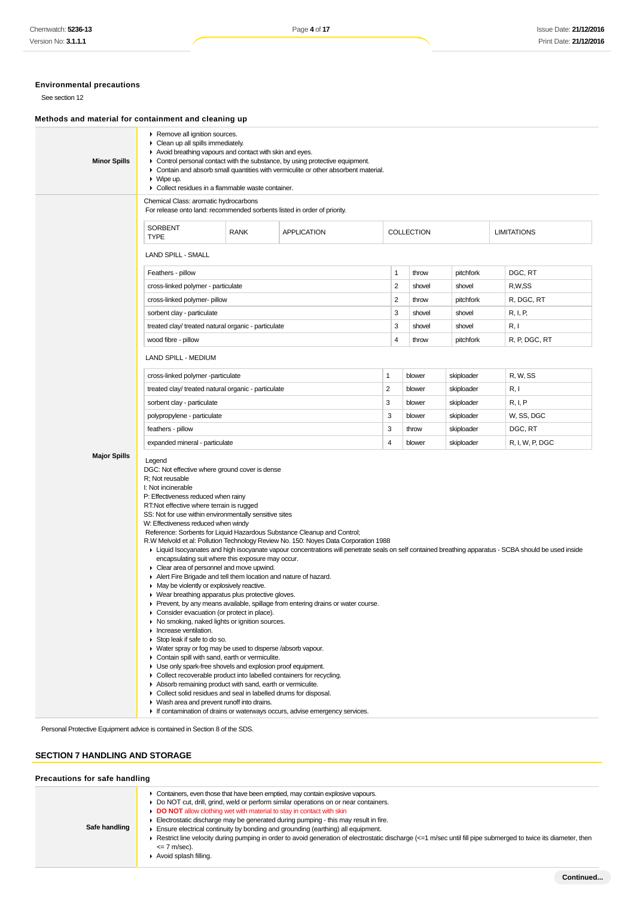### **Environmental precautions**

See section 12

### **Methods and material for containment and cleaning up**

| <b>Minor Spills</b>                                                        | Remove all ignition sources.<br>• Clean up all spills immediately.<br>Avoid breathing vapours and contact with skin and eyes.<br>• Control personal contact with the substance, by using protective equipment.<br>• Contain and absorb small quantities with vermiculite or other absorbent material.<br>$\triangleright$ Wipe up.<br>Collect residues in a flammable waste container.                                                                                                                                                                                                                                                                                                                                                                                                                                                                                                                                                                                                                                                                                                                                                                                                                                                                                                                                                                                                                                                                                                                                                                                                                                                                         |             |                                                                            |                |                   |            |                    |
|----------------------------------------------------------------------------|----------------------------------------------------------------------------------------------------------------------------------------------------------------------------------------------------------------------------------------------------------------------------------------------------------------------------------------------------------------------------------------------------------------------------------------------------------------------------------------------------------------------------------------------------------------------------------------------------------------------------------------------------------------------------------------------------------------------------------------------------------------------------------------------------------------------------------------------------------------------------------------------------------------------------------------------------------------------------------------------------------------------------------------------------------------------------------------------------------------------------------------------------------------------------------------------------------------------------------------------------------------------------------------------------------------------------------------------------------------------------------------------------------------------------------------------------------------------------------------------------------------------------------------------------------------------------------------------------------------------------------------------------------------|-------------|----------------------------------------------------------------------------|----------------|-------------------|------------|--------------------|
|                                                                            | Chemical Class: aromatic hydrocarbons<br>For release onto land: recommended sorbents listed in order of priority.                                                                                                                                                                                                                                                                                                                                                                                                                                                                                                                                                                                                                                                                                                                                                                                                                                                                                                                                                                                                                                                                                                                                                                                                                                                                                                                                                                                                                                                                                                                                              |             |                                                                            |                |                   |            |                    |
|                                                                            | SORBENT<br><b>TYPE</b>                                                                                                                                                                                                                                                                                                                                                                                                                                                                                                                                                                                                                                                                                                                                                                                                                                                                                                                                                                                                                                                                                                                                                                                                                                                                                                                                                                                                                                                                                                                                                                                                                                         | <b>RANK</b> | <b>APPLICATION</b>                                                         |                | <b>COLLECTION</b> |            | <b>LIMITATIONS</b> |
|                                                                            | <b>LAND SPILL - SMALL</b>                                                                                                                                                                                                                                                                                                                                                                                                                                                                                                                                                                                                                                                                                                                                                                                                                                                                                                                                                                                                                                                                                                                                                                                                                                                                                                                                                                                                                                                                                                                                                                                                                                      |             |                                                                            |                |                   |            |                    |
|                                                                            | Feathers - pillow                                                                                                                                                                                                                                                                                                                                                                                                                                                                                                                                                                                                                                                                                                                                                                                                                                                                                                                                                                                                                                                                                                                                                                                                                                                                                                                                                                                                                                                                                                                                                                                                                                              |             |                                                                            | 1              | throw             | pitchfork  | DGC, RT            |
|                                                                            | cross-linked polymer - particulate                                                                                                                                                                                                                                                                                                                                                                                                                                                                                                                                                                                                                                                                                                                                                                                                                                                                                                                                                                                                                                                                                                                                                                                                                                                                                                                                                                                                                                                                                                                                                                                                                             |             |                                                                            | 2              | shovel            | shovel     | R,W,SS             |
|                                                                            | cross-linked polymer- pillow                                                                                                                                                                                                                                                                                                                                                                                                                                                                                                                                                                                                                                                                                                                                                                                                                                                                                                                                                                                                                                                                                                                                                                                                                                                                                                                                                                                                                                                                                                                                                                                                                                   |             |                                                                            | 2              | throw             | pitchfork  | R, DGC, RT         |
|                                                                            | sorbent clay - particulate                                                                                                                                                                                                                                                                                                                                                                                                                                                                                                                                                                                                                                                                                                                                                                                                                                                                                                                                                                                                                                                                                                                                                                                                                                                                                                                                                                                                                                                                                                                                                                                                                                     |             |                                                                            | 3              | shovel            | shovel     | R, I, P,           |
|                                                                            | treated clay/ treated natural organic - particulate                                                                                                                                                                                                                                                                                                                                                                                                                                                                                                                                                                                                                                                                                                                                                                                                                                                                                                                                                                                                                                                                                                                                                                                                                                                                                                                                                                                                                                                                                                                                                                                                            |             |                                                                            | 3              | shovel            | shovel     | R, I               |
|                                                                            | wood fibre - pillow                                                                                                                                                                                                                                                                                                                                                                                                                                                                                                                                                                                                                                                                                                                                                                                                                                                                                                                                                                                                                                                                                                                                                                                                                                                                                                                                                                                                                                                                                                                                                                                                                                            |             |                                                                            | 4              | throw             | pitchfork  | R, P, DGC, RT      |
|                                                                            | LAND SPILL - MEDIUM                                                                                                                                                                                                                                                                                                                                                                                                                                                                                                                                                                                                                                                                                                                                                                                                                                                                                                                                                                                                                                                                                                                                                                                                                                                                                                                                                                                                                                                                                                                                                                                                                                            |             |                                                                            |                |                   |            |                    |
|                                                                            | cross-linked polymer -particulate                                                                                                                                                                                                                                                                                                                                                                                                                                                                                                                                                                                                                                                                                                                                                                                                                                                                                                                                                                                                                                                                                                                                                                                                                                                                                                                                                                                                                                                                                                                                                                                                                              |             |                                                                            | 1              | blower            | skiploader | R, W, SS           |
|                                                                            | treated clay/ treated natural organic - particulate                                                                                                                                                                                                                                                                                                                                                                                                                                                                                                                                                                                                                                                                                                                                                                                                                                                                                                                                                                                                                                                                                                                                                                                                                                                                                                                                                                                                                                                                                                                                                                                                            |             |                                                                            | $\overline{2}$ | blower            | skiploader | R, I               |
|                                                                            | sorbent clay - particulate                                                                                                                                                                                                                                                                                                                                                                                                                                                                                                                                                                                                                                                                                                                                                                                                                                                                                                                                                                                                                                                                                                                                                                                                                                                                                                                                                                                                                                                                                                                                                                                                                                     |             |                                                                            | 3              | blower            | skiploader | R, I, P            |
|                                                                            | polypropylene - particulate                                                                                                                                                                                                                                                                                                                                                                                                                                                                                                                                                                                                                                                                                                                                                                                                                                                                                                                                                                                                                                                                                                                                                                                                                                                                                                                                                                                                                                                                                                                                                                                                                                    |             |                                                                            | 3              | blower            | skiploader | W, SS, DGC         |
|                                                                            | feathers - pillow                                                                                                                                                                                                                                                                                                                                                                                                                                                                                                                                                                                                                                                                                                                                                                                                                                                                                                                                                                                                                                                                                                                                                                                                                                                                                                                                                                                                                                                                                                                                                                                                                                              |             |                                                                            | 3              | throw             | skiploader | DGC, RT            |
|                                                                            |                                                                                                                                                                                                                                                                                                                                                                                                                                                                                                                                                                                                                                                                                                                                                                                                                                                                                                                                                                                                                                                                                                                                                                                                                                                                                                                                                                                                                                                                                                                                                                                                                                                                |             |                                                                            | $\overline{4}$ | blower            | skiploader | R, I, W, P, DGC    |
|                                                                            | expanded mineral - particulate<br><b>Major Spills</b><br>Legend<br>DGC: Not effective where ground cover is dense<br>R: Not reusable<br>I: Not incinerable<br>P: Effectiveness reduced when rainy<br>RT:Not effective where terrain is rugged<br>SS: Not for use within environmentally sensitive sites<br>W: Effectiveness reduced when windy<br>Reference: Sorbents for Liquid Hazardous Substance Cleanup and Control;<br>R.W Melvold et al: Pollution Technology Review No. 150: Noyes Data Corporation 1988<br>E Liquid Isocyanates and high isocyanate vapour concentrations will penetrate seals on self contained breathing apparatus - SCBA should be used inside<br>encapsulating suit where this exposure may occur.<br>Clear area of personnel and move upwind.<br>Alert Fire Brigade and tell them location and nature of hazard.<br>• May be violently or explosively reactive.<br>• Wear breathing apparatus plus protective gloves.<br>Prevent, by any means available, spillage from entering drains or water course.<br>• Consider evacuation (or protect in place).<br>• No smoking, naked lights or ignition sources.<br>Increase ventilation.<br>$\triangleright$ Stop leak if safe to do so.<br>• Water spray or fog may be used to disperse /absorb vapour.<br>Contain spill with sand, earth or vermiculite.<br>• Use only spark-free shovels and explosion proof equipment.<br>• Collect recoverable product into labelled containers for recycling.<br>Absorb remaining product with sand, earth or vermiculite.<br>• Collect solid residues and seal in labelled drums for disposal.<br>• Wash area and prevent runoff into drains. |             |                                                                            |                |                   |            |                    |
| Personal Protective Equipment advice is contained in Section 8 of the SDS. |                                                                                                                                                                                                                                                                                                                                                                                                                                                                                                                                                                                                                                                                                                                                                                                                                                                                                                                                                                                                                                                                                                                                                                                                                                                                                                                                                                                                                                                                                                                                                                                                                                                                |             | If contamination of drains or waterways occurs, advise emergency services. |                |                   |            |                    |

## **SECTION 7 HANDLING AND STORAGE**

### **Precautions for safe handling**

| Safe handling | Containers, even those that have been emptied, may contain explosive vapours.<br>Do NOT cut, drill, grind, weld or perform similar operations on or near containers.<br>DO NOT allow clothing wet with material to stay in contact with skin<br>Electrostatic discharge may be generated during pumping - this may result in fire.<br>Ensure electrical continuity by bonding and grounding (earthing) all equipment.<br>Restrict line velocity during pumping in order to avoid generation of electrostatic discharge (<=1 m/sec until fill pipe submerged to twice its diameter, then<br>$\leq$ 7 m/sec).<br>Avoid splash filling. |
|---------------|--------------------------------------------------------------------------------------------------------------------------------------------------------------------------------------------------------------------------------------------------------------------------------------------------------------------------------------------------------------------------------------------------------------------------------------------------------------------------------------------------------------------------------------------------------------------------------------------------------------------------------------|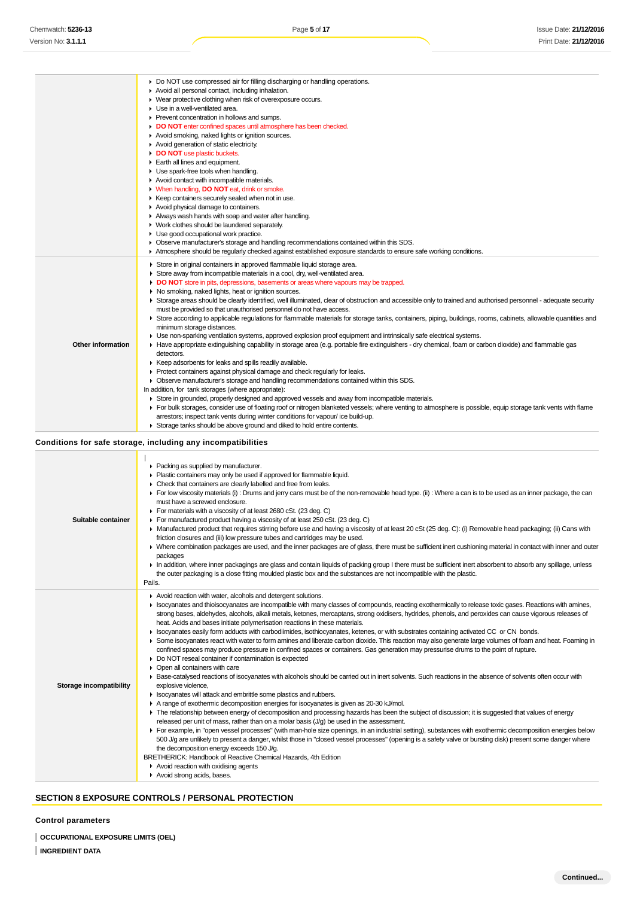|                         | ▶ Do NOT use compressed air for filling discharging or handling operations.<br>Avoid all personal contact, including inhalation.<br>• Wear protective clothing when risk of overexposure occurs.                                                                                                    |
|-------------------------|-----------------------------------------------------------------------------------------------------------------------------------------------------------------------------------------------------------------------------------------------------------------------------------------------------|
|                         | Use in a well-ventilated area.<br>• Prevent concentration in hollows and sumps.<br>DO NOT enter confined spaces until atmosphere has been checked.                                                                                                                                                  |
|                         | Avoid smoking, naked lights or ignition sources.<br>Avoid generation of static electricity.                                                                                                                                                                                                         |
|                         | DO NOT use plastic buckets.<br>Earth all lines and equipment.                                                                                                                                                                                                                                       |
|                         | • Use spark-free tools when handling.<br>Avoid contact with incompatible materials.                                                                                                                                                                                                                 |
|                         | V When handling, DO NOT eat, drink or smoke.<br>▶ Keep containers securely sealed when not in use.                                                                                                                                                                                                  |
|                         | Avoid physical damage to containers.<br>Always wash hands with soap and water after handling.                                                                                                                                                                                                       |
|                         | • Work clothes should be laundered separately.<br>• Use good occupational work practice.                                                                                                                                                                                                            |
|                         | • Observe manufacturer's storage and handling recommendations contained within this SDS.<br>Atmosphere should be regularly checked against established exposure standards to ensure safe working conditions.                                                                                        |
|                         | Store in original containers in approved flammable liquid storage area.<br>• Store away from incompatible materials in a cool, dry, well-ventilated area.                                                                                                                                           |
|                         | DO NOT store in pits, depressions, basements or areas where vapours may be trapped.<br>▶ No smoking, naked lights, heat or ignition sources.                                                                                                                                                        |
|                         | > Storage areas should be clearly identified, well illuminated, clear of obstruction and accessible only to trained and authorised personnel - adequate security<br>must be provided so that unauthorised personnel do not have access.                                                             |
|                         | ► Store according to applicable regulations for flammable materials for storage tanks, containers, piping, buildings, rooms, cabinets, allowable quantities and<br>minimum storage distances.                                                                                                       |
| Other information       | ► Use non-sparking ventilation systems, approved explosion proof equipment and intrinsically safe electrical systems.<br>► Have appropriate extinguishing capability in storage area (e.g. portable fire extinguishers - dry chemical, foam or carbon dioxide) and flammable gas                    |
|                         | detectors.<br>► Keep adsorbents for leaks and spills readily available.                                                                                                                                                                                                                             |
|                         | ▶ Protect containers against physical damage and check regularly for leaks.<br>▶ Observe manufacturer's storage and handling recommendations contained within this SDS.                                                                                                                             |
|                         | In addition, for tank storages (where appropriate):<br>► Store in grounded, properly designed and approved vessels and away from incompatible materials.                                                                                                                                            |
|                         | For bulk storages, consider use of floating roof or nitrogen blanketed vessels; where venting to atmosphere is possible, equip storage tank vents with flame<br>arrestors; inspect tank vents during winter conditions for vapour/ice build-up.                                                     |
|                         | Storage tanks should be above ground and diked to hold entire contents.                                                                                                                                                                                                                             |
|                         | Conditions for safe storage, including any incompatibilities                                                                                                                                                                                                                                        |
|                         | • Packing as supplied by manufacturer.<br>Plastic containers may only be used if approved for flammable liquid.                                                                                                                                                                                     |
|                         | • Check that containers are clearly labelled and free from leaks.                                                                                                                                                                                                                                   |
|                         | ► For low viscosity materials (i) : Drums and jerry cans must be of the non-removable head type. (ii) : Where a can is to be used as an inner package, the can<br>must have a screwed enclosure.                                                                                                    |
| Suitable container      | For materials with a viscosity of at least 2680 cSt. (23 deg. C)<br>► For manufactured product having a viscosity of at least 250 cSt. (23 deg. C)                                                                                                                                                  |
|                         | ► Manufactured product that requires stirring before use and having a viscosity of at least 20 cSt (25 deg. C): (i) Removable head packaging; (ii) Cans with<br>friction closures and (iii) low pressure tubes and cartridges may be used.                                                          |
|                         | ▶ Where combination packages are used, and the inner packages are of glass, there must be sufficient inert cushioning material in contact with inner and outer                                                                                                                                      |
|                         | packages                                                                                                                                                                                                                                                                                            |
|                         | In addition, where inner packagings are glass and contain liquids of packing group I there must be sufficient inert absorbent to absorb any spillage, unless<br>the outer packaging is a close fitting moulded plastic box and the substances are not incompatible with the plastic.                |
|                         | Pails.                                                                                                                                                                                                                                                                                              |
|                         | Avoid reaction with water, alcohols and detergent solutions.<br>> Isocyanates and thioisocyanates are incompatible with many classes of compounds, reacting exothermically to release toxic gases. Reactions with amines,                                                                           |
|                         | strong bases, aldehydes, alcohols, alkali metals, ketones, mercaptans, strong oxidisers, hydrides, phenols, and peroxides can cause vigorous releases of<br>heat. Acids and bases initiate polymerisation reactions in these materials.                                                             |
|                         | ► Isocyanates easily form adducts with carbodiimides, isothiocyanates, ketenes, or with substrates containing activated CC or CN bonds.<br>Some isocyanates react with water to form amines and liberate carbon dioxide. This reaction may also generate large volumes of foam and heat. Foaming in |
|                         | confined spaces may produce pressure in confined spaces or containers. Gas generation may pressurise drums to the point of rupture.<br>• Do NOT reseal container if contamination is expected                                                                                                       |
|                         | • Open all containers with care<br>▶ Base-catalysed reactions of isocyanates with alcohols should be carried out in inert solvents. Such reactions in the absence of solvents often occur with                                                                                                      |
| Storage incompatibility | explosive violence,                                                                                                                                                                                                                                                                                 |
|                         | In Isocyanates will attack and embrittle some plastics and rubbers.<br>A range of exothermic decomposition energies for isocyanates is given as 20-30 kJ/mol.                                                                                                                                       |
|                         | The relationship between energy of decomposition and processing hazards has been the subject of discussion; it is suggested that values of energy<br>released per unit of mass, rather than on a molar basis $(J/g)$ be used in the assessment.                                                     |
|                         | For example, in "open vessel processes" (with man-hole size openings, in an industrial setting), substances with exothermic decomposition energies below                                                                                                                                            |
|                         | 500 J/g are unlikely to present a danger, whilst those in "closed vessel processes" (opening is a safety valve or bursting disk) present some danger where<br>the decomposition energy exceeds 150 J/g.                                                                                             |
|                         | BRETHERICK: Handbook of Reactive Chemical Hazards, 4th Edition<br>$\blacktriangleright$ Avoid reaction with oxidising agents                                                                                                                                                                        |

### **SECTION 8 EXPOSURE CONTROLS / PERSONAL PROTECTION**

## **Control parameters**

**OCCUPATIONAL EXPOSURE LIMITS (OEL) INGREDIENT DATA**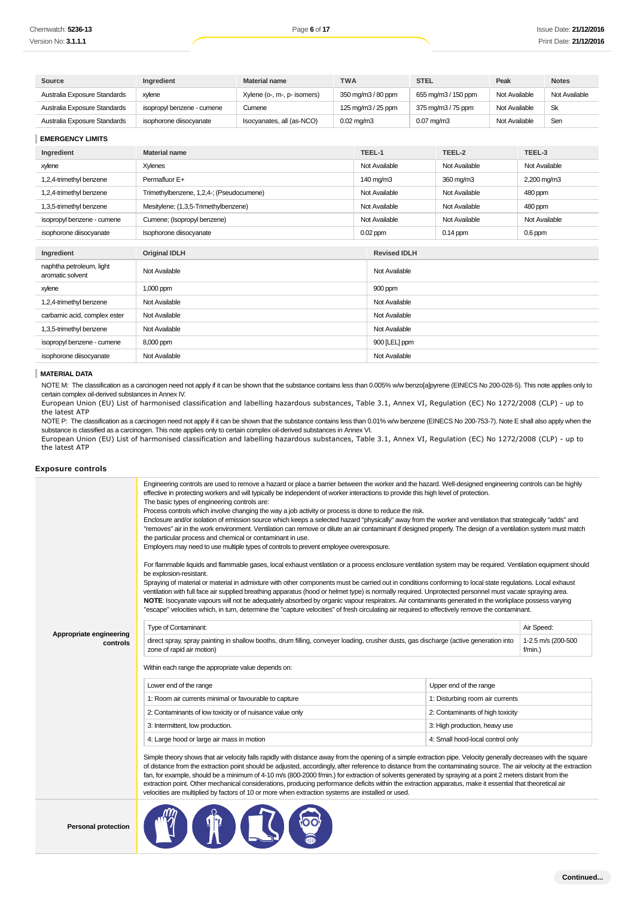| Source                       | Ingredient                 | <b>Material name</b>        | <b>TWA</b>              | <b>STEL</b>         | Peak          | <b>Notes</b>  |
|------------------------------|----------------------------|-----------------------------|-------------------------|---------------------|---------------|---------------|
| Australia Exposure Standards | xvlene                     | Xylene (o-, m-, p- isomers) | 350 mg/m3 / 80 ppm      | 655 mg/m3 / 150 ppm | Not Available | Not Available |
| Australia Exposure Standards | isopropyl benzene - cumene | Cumene                      | 125 mg/m3 / 25 ppm      | 375 mg/m3 / 75 ppm  | Not Available | Sk            |
| Australia Exposure Standards | isophorone diisocyanate    | Isocyanates, all (as-NCO)   | $0.02 \,\mathrm{mg/m3}$ | $0.07$ mg/m $3$     | Not Available | Sen           |

| EMERGENCI LIMITO                             |                                          |                     |               |               |
|----------------------------------------------|------------------------------------------|---------------------|---------------|---------------|
| Ingredient                                   | <b>Material name</b>                     | TEEL-1              | TEEL-2        | TEEL-3        |
| xylene                                       | Xylenes                                  | Not Available       | Not Available | Not Available |
| 1,2,4-trimethyl benzene                      | Permafluor E+                            | 140 mg/m3           | 360 mg/m3     | 2,200 mg/m3   |
| 1,2,4-trimethyl benzene                      | Trimethylbenzene, 1,2,4-; (Pseudocumene) | Not Available       | Not Available | 480 ppm       |
| 1,3,5-trimethyl benzene                      | Mesitylene; (1,3,5-Trimethylbenzene)     | Not Available       | Not Available | 480 ppm       |
| isopropyl benzene - cumene                   | Cumene; (Isopropyl benzene)              | Not Available       | Not Available | Not Available |
| isophorone diisocyanate                      | Isophorone diisocyanate                  | $0.02$ ppm          | $0.14$ ppm    | $0.6$ ppm     |
|                                              |                                          |                     |               |               |
| Ingredient                                   | <b>Original IDLH</b>                     | <b>Revised IDLH</b> |               |               |
| naphtha petroleum, light<br>aromatic solvent | Not Available                            | Not Available       |               |               |
| xylene                                       | 1,000 ppm                                | 900 ppm             |               |               |
| 1,2,4-trimethyl benzene                      | Not Available                            | Not Available       |               |               |
| carbamic acid, complex ester                 | Not Available                            | Not Available       |               |               |
| 1,3,5-trimethyl benzene                      | Not Available                            | Not Available       |               |               |
| isopropyl benzene - cumene                   | 8,000 ppm                                | 900 [LEL] ppm       |               |               |
| isophorone diisocyanate                      | Not Available                            | Not Available       |               |               |

#### **MATERIAL DATA**

#### **Exposure controls**

| Chemwatch: <b>5236-13</b>                    |                                                                                                                                       | Page 6 of 17                                                                                                                                                                                                                                                                                                                                                                                                                                                                                                                                                                                                                                                                                                                                                                                                                                                                                                                                                                                                                                                                                                                                                                                                                                                                                                                                                                                                                                                                                                                                                                                                                          |                 |                     |                 |                                  |               |               | Issue Date: 21/12/2 |
|----------------------------------------------|---------------------------------------------------------------------------------------------------------------------------------------|---------------------------------------------------------------------------------------------------------------------------------------------------------------------------------------------------------------------------------------------------------------------------------------------------------------------------------------------------------------------------------------------------------------------------------------------------------------------------------------------------------------------------------------------------------------------------------------------------------------------------------------------------------------------------------------------------------------------------------------------------------------------------------------------------------------------------------------------------------------------------------------------------------------------------------------------------------------------------------------------------------------------------------------------------------------------------------------------------------------------------------------------------------------------------------------------------------------------------------------------------------------------------------------------------------------------------------------------------------------------------------------------------------------------------------------------------------------------------------------------------------------------------------------------------------------------------------------------------------------------------------------|-----------------|---------------------|-----------------|----------------------------------|---------------|---------------|---------------------|
| Version No: <b>3.1.1.1</b>                   |                                                                                                                                       |                                                                                                                                                                                                                                                                                                                                                                                                                                                                                                                                                                                                                                                                                                                                                                                                                                                                                                                                                                                                                                                                                                                                                                                                                                                                                                                                                                                                                                                                                                                                                                                                                                       |                 |                     |                 |                                  |               |               | Print Date: 21/12/2 |
|                                              |                                                                                                                                       |                                                                                                                                                                                                                                                                                                                                                                                                                                                                                                                                                                                                                                                                                                                                                                                                                                                                                                                                                                                                                                                                                                                                                                                                                                                                                                                                                                                                                                                                                                                                                                                                                                       |                 |                     |                 |                                  |               |               |                     |
| Source                                       | Ingredient                                                                                                                            | <b>Material name</b>                                                                                                                                                                                                                                                                                                                                                                                                                                                                                                                                                                                                                                                                                                                                                                                                                                                                                                                                                                                                                                                                                                                                                                                                                                                                                                                                                                                                                                                                                                                                                                                                                  | <b>TWA</b>      |                     | <b>STEL</b>     |                                  | Peak          |               | <b>Notes</b>        |
| Australia Exposure Standards                 | xylene                                                                                                                                | Xylene (o-, m-, p- isomers)                                                                                                                                                                                                                                                                                                                                                                                                                                                                                                                                                                                                                                                                                                                                                                                                                                                                                                                                                                                                                                                                                                                                                                                                                                                                                                                                                                                                                                                                                                                                                                                                           |                 | 350 mg/m3 / 80 ppm  |                 | 655 mg/m3 / 150 ppm              | Not Available |               | Not Available       |
| Australia Exposure Standards                 | isopropyl benzene - cumene                                                                                                            | Cumene                                                                                                                                                                                                                                                                                                                                                                                                                                                                                                                                                                                                                                                                                                                                                                                                                                                                                                                                                                                                                                                                                                                                                                                                                                                                                                                                                                                                                                                                                                                                                                                                                                |                 | 125 mg/m3 / 25 ppm  |                 | 375 mg/m3 / 75 ppm               | Not Available |               | <b>Sk</b>           |
| Australia Exposure Standards                 | isophorone diisocyanate                                                                                                               | Isocyanates, all (as-NCO)                                                                                                                                                                                                                                                                                                                                                                                                                                                                                                                                                                                                                                                                                                                                                                                                                                                                                                                                                                                                                                                                                                                                                                                                                                                                                                                                                                                                                                                                                                                                                                                                             | $0.02$ mg/m $3$ |                     | $0.07$ mg/m $3$ |                                  | Not Available |               | Sen                 |
| <b>EMERGENCY LIMITS</b>                      |                                                                                                                                       |                                                                                                                                                                                                                                                                                                                                                                                                                                                                                                                                                                                                                                                                                                                                                                                                                                                                                                                                                                                                                                                                                                                                                                                                                                                                                                                                                                                                                                                                                                                                                                                                                                       |                 |                     |                 |                                  |               |               |                     |
| Ingredient                                   | <b>Material name</b>                                                                                                                  |                                                                                                                                                                                                                                                                                                                                                                                                                                                                                                                                                                                                                                                                                                                                                                                                                                                                                                                                                                                                                                                                                                                                                                                                                                                                                                                                                                                                                                                                                                                                                                                                                                       |                 | TEEL-1              |                 | TEEL-2                           |               | TEEL-3        |                     |
| xylene                                       | <b>Xylenes</b>                                                                                                                        |                                                                                                                                                                                                                                                                                                                                                                                                                                                                                                                                                                                                                                                                                                                                                                                                                                                                                                                                                                                                                                                                                                                                                                                                                                                                                                                                                                                                                                                                                                                                                                                                                                       |                 | Not Available       |                 | Not Available                    |               | Not Available |                     |
| 1,2,4-trimethyl benzene                      | Permafluor E+                                                                                                                         |                                                                                                                                                                                                                                                                                                                                                                                                                                                                                                                                                                                                                                                                                                                                                                                                                                                                                                                                                                                                                                                                                                                                                                                                                                                                                                                                                                                                                                                                                                                                                                                                                                       |                 | 140 mg/m3           |                 | 360 mg/m3                        |               | 2,200 mg/m3   |                     |
| 1,2,4-trimethyl benzene                      | Trimethylbenzene, 1,2,4-; (Pseudocumene)                                                                                              |                                                                                                                                                                                                                                                                                                                                                                                                                                                                                                                                                                                                                                                                                                                                                                                                                                                                                                                                                                                                                                                                                                                                                                                                                                                                                                                                                                                                                                                                                                                                                                                                                                       |                 | Not Available       |                 | Not Available                    |               | 480 ppm       |                     |
| 1,3,5-trimethyl benzene                      | Mesitylene; (1,3,5-Trimethylbenzene)                                                                                                  |                                                                                                                                                                                                                                                                                                                                                                                                                                                                                                                                                                                                                                                                                                                                                                                                                                                                                                                                                                                                                                                                                                                                                                                                                                                                                                                                                                                                                                                                                                                                                                                                                                       |                 | Not Available       |                 | Not Available                    |               | 480 ppm       |                     |
| isopropyl benzene - cumene                   | Cumene; (Isopropyl benzene)                                                                                                           |                                                                                                                                                                                                                                                                                                                                                                                                                                                                                                                                                                                                                                                                                                                                                                                                                                                                                                                                                                                                                                                                                                                                                                                                                                                                                                                                                                                                                                                                                                                                                                                                                                       |                 | Not Available       |                 | Not Available                    |               | Not Available |                     |
| isophorone diisocyanate                      | Isophorone diisocyanate                                                                                                               |                                                                                                                                                                                                                                                                                                                                                                                                                                                                                                                                                                                                                                                                                                                                                                                                                                                                                                                                                                                                                                                                                                                                                                                                                                                                                                                                                                                                                                                                                                                                                                                                                                       |                 | $0.02$ ppm          |                 | $0.14$ ppm                       |               | $0.6$ ppm     |                     |
|                                              |                                                                                                                                       |                                                                                                                                                                                                                                                                                                                                                                                                                                                                                                                                                                                                                                                                                                                                                                                                                                                                                                                                                                                                                                                                                                                                                                                                                                                                                                                                                                                                                                                                                                                                                                                                                                       |                 |                     |                 |                                  |               |               |                     |
| Ingredient                                   | <b>Original IDLH</b>                                                                                                                  |                                                                                                                                                                                                                                                                                                                                                                                                                                                                                                                                                                                                                                                                                                                                                                                                                                                                                                                                                                                                                                                                                                                                                                                                                                                                                                                                                                                                                                                                                                                                                                                                                                       |                 | <b>Revised IDLH</b> |                 |                                  |               |               |                     |
| naphtha petroleum, light<br>aromatic solvent | Not Available                                                                                                                         |                                                                                                                                                                                                                                                                                                                                                                                                                                                                                                                                                                                                                                                                                                                                                                                                                                                                                                                                                                                                                                                                                                                                                                                                                                                                                                                                                                                                                                                                                                                                                                                                                                       |                 | Not Available       |                 |                                  |               |               |                     |
| xylene                                       | 1,000 ppm                                                                                                                             |                                                                                                                                                                                                                                                                                                                                                                                                                                                                                                                                                                                                                                                                                                                                                                                                                                                                                                                                                                                                                                                                                                                                                                                                                                                                                                                                                                                                                                                                                                                                                                                                                                       |                 | 900 ppm             |                 |                                  |               |               |                     |
| 1,2,4-trimethyl benzene                      | Not Available                                                                                                                         |                                                                                                                                                                                                                                                                                                                                                                                                                                                                                                                                                                                                                                                                                                                                                                                                                                                                                                                                                                                                                                                                                                                                                                                                                                                                                                                                                                                                                                                                                                                                                                                                                                       |                 | Not Available       |                 |                                  |               |               |                     |
| carbamic acid, complex ester                 | Not Available                                                                                                                         |                                                                                                                                                                                                                                                                                                                                                                                                                                                                                                                                                                                                                                                                                                                                                                                                                                                                                                                                                                                                                                                                                                                                                                                                                                                                                                                                                                                                                                                                                                                                                                                                                                       |                 | Not Available       |                 |                                  |               |               |                     |
| 1,3,5-trimethyl benzene                      | Not Available                                                                                                                         |                                                                                                                                                                                                                                                                                                                                                                                                                                                                                                                                                                                                                                                                                                                                                                                                                                                                                                                                                                                                                                                                                                                                                                                                                                                                                                                                                                                                                                                                                                                                                                                                                                       |                 | Not Available       |                 |                                  |               |               |                     |
| isopropyl benzene - cumene                   | 8,000 ppm                                                                                                                             |                                                                                                                                                                                                                                                                                                                                                                                                                                                                                                                                                                                                                                                                                                                                                                                                                                                                                                                                                                                                                                                                                                                                                                                                                                                                                                                                                                                                                                                                                                                                                                                                                                       |                 | 900 [LEL] ppm       |                 |                                  |               |               |                     |
| isophorone diisocyanate                      | Not Available                                                                                                                         |                                                                                                                                                                                                                                                                                                                                                                                                                                                                                                                                                                                                                                                                                                                                                                                                                                                                                                                                                                                                                                                                                                                                                                                                                                                                                                                                                                                                                                                                                                                                                                                                                                       |                 | Not Available       |                 |                                  |               |               |                     |
| <b>Exposure controls</b>                     |                                                                                                                                       |                                                                                                                                                                                                                                                                                                                                                                                                                                                                                                                                                                                                                                                                                                                                                                                                                                                                                                                                                                                                                                                                                                                                                                                                                                                                                                                                                                                                                                                                                                                                                                                                                                       |                 |                     |                 |                                  |               |               |                     |
|                                              | The basic types of engineering controls are:<br>the particular process and chemical or contaminant in use.<br>be explosion-resistant. | Engineering controls are used to remove a hazard or place a barrier between the worker and the hazard. Well-designed engineering controls can be highly<br>effective in protecting workers and will typically be independent of worker interactions to provide this high level of protection.<br>Process controls which involve changing the way a job activity or process is done to reduce the risk.<br>Enclosure and/or isolation of emission source which keeps a selected hazard "physically" away from the worker and ventilation that strategically "adds" and<br>"removes" air in the work environment. Ventilation can remove or dilute an air contaminant if designed properly. The design of a ventilation system must match<br>Employers may need to use multiple types of controls to prevent employee overexposure.<br>For flammable liquids and flammable gases, local exhaust ventilation or a process enclosure ventilation system may be required. Ventilation equipment should<br>Spraying of material or material in admixture with other components must be carried out in conditions conforming to local state regulations. Local exhaust<br>ventilation with full face air supplied breathing apparatus (hood or helmet type) is normally required. Unprotected personnel must vacate spraying area.<br>NOTE: Isocyanate vapours will not be adequately absorbed by organic vapour respirators. Air contaminants generated in the workplace possess varying<br>"escape" velocities which, in turn, determine the "capture velocities" of fresh circulating air required to effectively remove the contaminant. |                 |                     |                 |                                  |               |               |                     |
|                                              | Type of Contaminant:                                                                                                                  |                                                                                                                                                                                                                                                                                                                                                                                                                                                                                                                                                                                                                                                                                                                                                                                                                                                                                                                                                                                                                                                                                                                                                                                                                                                                                                                                                                                                                                                                                                                                                                                                                                       |                 |                     |                 |                                  |               | Air Speed:    |                     |
| Appropriate engineering<br>controls          | zone of rapid air motion)                                                                                                             | direct spray, spray painting in shallow booths, drum filling, conveyer loading, crusher dusts, gas discharge (active generation into                                                                                                                                                                                                                                                                                                                                                                                                                                                                                                                                                                                                                                                                                                                                                                                                                                                                                                                                                                                                                                                                                                                                                                                                                                                                                                                                                                                                                                                                                                  |                 |                     |                 |                                  |               | f/min.)       | 1-2.5 m/s (200-500  |
|                                              | Within each range the appropriate value depends on:                                                                                   |                                                                                                                                                                                                                                                                                                                                                                                                                                                                                                                                                                                                                                                                                                                                                                                                                                                                                                                                                                                                                                                                                                                                                                                                                                                                                                                                                                                                                                                                                                                                                                                                                                       |                 |                     |                 |                                  |               |               |                     |
|                                              | Lower end of the range                                                                                                                |                                                                                                                                                                                                                                                                                                                                                                                                                                                                                                                                                                                                                                                                                                                                                                                                                                                                                                                                                                                                                                                                                                                                                                                                                                                                                                                                                                                                                                                                                                                                                                                                                                       |                 |                     |                 | Upper end of the range           |               |               |                     |
|                                              | 1: Room air currents minimal or favourable to capture                                                                                 |                                                                                                                                                                                                                                                                                                                                                                                                                                                                                                                                                                                                                                                                                                                                                                                                                                                                                                                                                                                                                                                                                                                                                                                                                                                                                                                                                                                                                                                                                                                                                                                                                                       |                 |                     |                 | 1: Disturbing room air currents  |               |               |                     |
|                                              | 2: Contaminants of low toxicity or of nuisance value only                                                                             |                                                                                                                                                                                                                                                                                                                                                                                                                                                                                                                                                                                                                                                                                                                                                                                                                                                                                                                                                                                                                                                                                                                                                                                                                                                                                                                                                                                                                                                                                                                                                                                                                                       |                 |                     |                 | 2: Contaminants of high toxicity |               |               |                     |
|                                              | 3: Intermittent, low production.                                                                                                      |                                                                                                                                                                                                                                                                                                                                                                                                                                                                                                                                                                                                                                                                                                                                                                                                                                                                                                                                                                                                                                                                                                                                                                                                                                                                                                                                                                                                                                                                                                                                                                                                                                       |                 |                     |                 | 3: High production, heavy use    |               |               |                     |
|                                              | 4: Large hood or large air mass in motion                                                                                             |                                                                                                                                                                                                                                                                                                                                                                                                                                                                                                                                                                                                                                                                                                                                                                                                                                                                                                                                                                                                                                                                                                                                                                                                                                                                                                                                                                                                                                                                                                                                                                                                                                       |                 |                     |                 | 4: Small hood-local control only |               |               |                     |
|                                              |                                                                                                                                       | Simple theory shows that air velocity falls rapidly with distance away from the opening of a simple extraction pipe. Velocity generally decreases with the square<br>of distance from the extraction point should be adjusted, accordingly, after reference to distance from the contaminating source. The air velocity at the extraction<br>fan, for example, should be a minimum of 4-10 m/s (800-2000 f/min.) for extraction of solvents generated by spraying at a point 2 meters distant from the<br>extraction point. Other mechanical considerations, producing performance deficits within the extraction apparatus, make it essential that theoretical air                                                                                                                                                                                                                                                                                                                                                                                                                                                                                                                                                                                                                                                                                                                                                                                                                                                                                                                                                                   |                 |                     |                 |                                  |               |               |                     |
| <b>Personal protection</b>                   |                                                                                                                                       | velocities are multiplied by factors of 10 or more when extraction systems are installed or used.<br><b>th</b> 7 6                                                                                                                                                                                                                                                                                                                                                                                                                                                                                                                                                                                                                                                                                                                                                                                                                                                                                                                                                                                                                                                                                                                                                                                                                                                                                                                                                                                                                                                                                                                    |                 |                     |                 |                                  |               |               |                     |

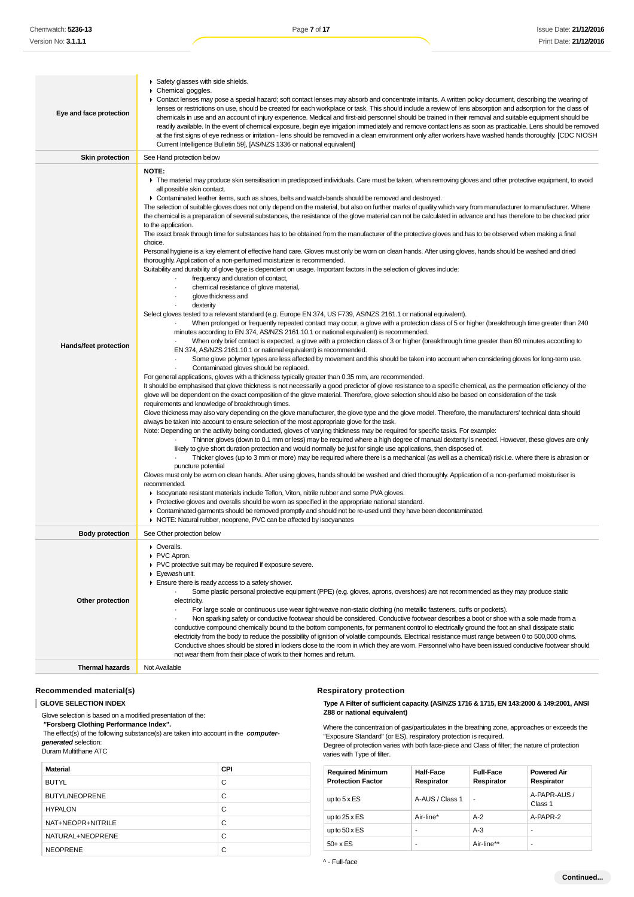| Eye and face protection | Safety glasses with side shields.<br>Chemical goggles.<br>• Contact lenses may pose a special hazard; soft contact lenses may absorb and concentrate irritants. A written policy document, describing the wearing of<br>lenses or restrictions on use, should be created for each workplace or task. This should include a review of lens absorption and adsorption for the class of<br>chemicals in use and an account of injury experience. Medical and first-aid personnel should be trained in their removal and suitable equipment should be<br>readily available. In the event of chemical exposure, begin eye irrigation immediately and remove contact lens as soon as practicable. Lens should be removed<br>at the first signs of eye redness or irritation - lens should be removed in a clean environment only after workers have washed hands thoroughly. [CDC NIOSH<br>Current Intelligence Bulletin 59], [AS/NZS 1336 or national equivalent]                                                                                                                                                                                                                                                                                                                                                                                                                                                                                                                                                                                                                                                                                                                                                                                                                                                                                                                                                                                                                                                                                                                                                                                                                                                                                                                                                                                                                                                                                                                                                                                                                                                                                                                                                                                                                                                                                                                                                                                                                                                                                                                                                                                                                                                                                                                                                                                                                                                                                                                                                                                                                                                                                                                                                                                                                                                                                                                                                                                                                                                         |
|-------------------------|----------------------------------------------------------------------------------------------------------------------------------------------------------------------------------------------------------------------------------------------------------------------------------------------------------------------------------------------------------------------------------------------------------------------------------------------------------------------------------------------------------------------------------------------------------------------------------------------------------------------------------------------------------------------------------------------------------------------------------------------------------------------------------------------------------------------------------------------------------------------------------------------------------------------------------------------------------------------------------------------------------------------------------------------------------------------------------------------------------------------------------------------------------------------------------------------------------------------------------------------------------------------------------------------------------------------------------------------------------------------------------------------------------------------------------------------------------------------------------------------------------------------------------------------------------------------------------------------------------------------------------------------------------------------------------------------------------------------------------------------------------------------------------------------------------------------------------------------------------------------------------------------------------------------------------------------------------------------------------------------------------------------------------------------------------------------------------------------------------------------------------------------------------------------------------------------------------------------------------------------------------------------------------------------------------------------------------------------------------------------------------------------------------------------------------------------------------------------------------------------------------------------------------------------------------------------------------------------------------------------------------------------------------------------------------------------------------------------------------------------------------------------------------------------------------------------------------------------------------------------------------------------------------------------------------------------------------------------------------------------------------------------------------------------------------------------------------------------------------------------------------------------------------------------------------------------------------------------------------------------------------------------------------------------------------------------------------------------------------------------------------------------------------------------------------------------------------------------------------------------------------------------------------------------------------------------------------------------------------------------------------------------------------------------------------------------------------------------------------------------------------------------------------------------------------------------------------------------------------------------------------------------------------------------------------------------------------------------------------------------------------------------|
| <b>Skin protection</b>  | See Hand protection below                                                                                                                                                                                                                                                                                                                                                                                                                                                                                                                                                                                                                                                                                                                                                                                                                                                                                                                                                                                                                                                                                                                                                                                                                                                                                                                                                                                                                                                                                                                                                                                                                                                                                                                                                                                                                                                                                                                                                                                                                                                                                                                                                                                                                                                                                                                                                                                                                                                                                                                                                                                                                                                                                                                                                                                                                                                                                                                                                                                                                                                                                                                                                                                                                                                                                                                                                                                                                                                                                                                                                                                                                                                                                                                                                                                                                                                                                                                                                                                            |
| Hands/feet protection   | <b>NOTE:</b><br>The material may produce skin sensitisation in predisposed individuals. Care must be taken, when removing gloves and other protective equipment, to avoid<br>all possible skin contact.<br>• Contaminated leather items, such as shoes, belts and watch-bands should be removed and destroyed.<br>The selection of suitable gloves does not only depend on the material, but also on further marks of quality which vary from manufacturer to manufacturer. Where<br>the chemical is a preparation of several substances, the resistance of the glove material can not be calculated in advance and has therefore to be checked prior<br>to the application.<br>The exact break through time for substances has to be obtained from the manufacturer of the protective gloves and has to be observed when making a final<br>choice.<br>Personal hygiene is a key element of effective hand care. Gloves must only be worn on clean hands. After using gloves, hands should be washed and dried<br>thoroughly. Application of a non-perfumed moisturizer is recommended.<br>Suitability and durability of glove type is dependent on usage. Important factors in the selection of gloves include:<br>frequency and duration of contact,<br>chemical resistance of glove material,<br>glove thickness and<br>dexterity<br>Select gloves tested to a relevant standard (e.g. Europe EN 374, US F739, AS/NZS 2161.1 or national equivalent).<br>When prolonged or frequently repeated contact may occur, a glove with a protection class of 5 or higher (breakthrough time greater than 240<br>minutes according to EN 374, AS/NZS 2161.10.1 or national equivalent) is recommended.<br>When only brief contact is expected, a glove with a protection class of 3 or higher (breakthrough time greater than 60 minutes according to<br>EN 374, AS/NZS 2161.10.1 or national equivalent) is recommended.<br>Some glove polymer types are less affected by movement and this should be taken into account when considering gloves for long-term use.<br>Contaminated gloves should be replaced.<br>For general applications, gloves with a thickness typically greater than 0.35 mm, are recommended.<br>It should be emphasised that glove thickness is not necessarily a good predictor of glove resistance to a specific chemical, as the permeation efficiency of the<br>glove will be dependent on the exact composition of the glove material. Therefore, glove selection should also be based on consideration of the task<br>requirements and knowledge of breakthrough times.<br>Glove thickness may also vary depending on the glove manufacturer, the glove type and the glove model. Therefore, the manufacturers' technical data should<br>always be taken into account to ensure selection of the most appropriate glove for the task.<br>Note: Depending on the activity being conducted, gloves of varying thickness may be required for specific tasks. For example:<br>Thinner gloves (down to 0.1 mm or less) may be required where a high degree of manual dexterity is needed. However, these gloves are only<br>likely to give short duration protection and would normally be just for single use applications, then disposed of.<br>Thicker gloves (up to 3 mm or more) may be required where there is a mechanical (as well as a chemical) risk i.e. where there is abrasion or<br>puncture potential<br>Gloves must only be worn on clean hands. After using gloves, hands should be washed and dried thoroughly. Application of a non-perfumed moisturiser is<br>recommended.<br>► Isocyanate resistant materials include Teflon, Viton, nitrile rubber and some PVA gloves.<br>• Protective gloves and overalls should be worn as specified in the appropriate national standard.<br>• Contaminated garments should be removed promptly and should not be re-used until they have been decontaminated.<br>• NOTE: Natural rubber, neoprene, PVC can be affected by isocyanates |
| <b>Body protection</b>  | See Other protection below                                                                                                                                                                                                                                                                                                                                                                                                                                                                                                                                                                                                                                                                                                                                                                                                                                                                                                                                                                                                                                                                                                                                                                                                                                                                                                                                                                                                                                                                                                                                                                                                                                                                                                                                                                                                                                                                                                                                                                                                                                                                                                                                                                                                                                                                                                                                                                                                                                                                                                                                                                                                                                                                                                                                                                                                                                                                                                                                                                                                                                                                                                                                                                                                                                                                                                                                                                                                                                                                                                                                                                                                                                                                                                                                                                                                                                                                                                                                                                                           |
| Other protection        | $\triangleright$ Overalls<br>PVC Apron.<br>▶ PVC protective suit may be required if exposure severe.<br>Eyewash unit.<br>Ensure there is ready access to a safety shower.<br>Some plastic personal protective equipment (PPE) (e.g. gloves, aprons, overshoes) are not recommended as they may produce static<br>electricity.<br>For large scale or continuous use wear tight-weave non-static clothing (no metallic fasteners, cuffs or pockets).<br>Non sparking safety or conductive footwear should be considered. Conductive footwear describes a boot or shoe with a sole made from a<br>conductive compound chemically bound to the bottom components, for permanent control to electrically ground the foot an shall dissipate static<br>electricity from the body to reduce the possibility of ignition of volatile compounds. Electrical resistance must range between 0 to 500,000 ohms.<br>Conductive shoes should be stored in lockers close to the room in which they are worn. Personnel who have been issued conductive footwear should<br>not wear them from their place of work to their homes and return.                                                                                                                                                                                                                                                                                                                                                                                                                                                                                                                                                                                                                                                                                                                                                                                                                                                                                                                                                                                                                                                                                                                                                                                                                                                                                                                                                                                                                                                                                                                                                                                                                                                                                                                                                                                                                                                                                                                                                                                                                                                                                                                                                                                                                                                                                                                                                                                                                                                                                                                                                                                                                                                                                                                                                                                                                                                                                         |
| <b>Thermal hazards</b>  | Not Available                                                                                                                                                                                                                                                                                                                                                                                                                                                                                                                                                                                                                                                                                                                                                                                                                                                                                                                                                                                                                                                                                                                                                                                                                                                                                                                                                                                                                                                                                                                                                                                                                                                                                                                                                                                                                                                                                                                                                                                                                                                                                                                                                                                                                                                                                                                                                                                                                                                                                                                                                                                                                                                                                                                                                                                                                                                                                                                                                                                                                                                                                                                                                                                                                                                                                                                                                                                                                                                                                                                                                                                                                                                                                                                                                                                                                                                                                                                                                                                                        |
|                         |                                                                                                                                                                                                                                                                                                                                                                                                                                                                                                                                                                                                                                                                                                                                                                                                                                                                                                                                                                                                                                                                                                                                                                                                                                                                                                                                                                                                                                                                                                                                                                                                                                                                                                                                                                                                                                                                                                                                                                                                                                                                                                                                                                                                                                                                                                                                                                                                                                                                                                                                                                                                                                                                                                                                                                                                                                                                                                                                                                                                                                                                                                                                                                                                                                                                                                                                                                                                                                                                                                                                                                                                                                                                                                                                                                                                                                                                                                                                                                                                                      |

### **Recommended material(s)**

### **GLOVE SELECTION INDEX**

Glove selection is based on a modified presentation of the:

 **"Forsberg Clothing Performance Index".**

 The effect(s) of the following substance(s) are taken into account in the **computergenerated** selection: Duram Multithane ATC

# **Material CPI** BUTYL C BUTYL/NEOPRENE C HYPALON C NAT+NEOPR+NITRILE C NATURAL+NEOPRENE C NEOPRENE C

#### **Respiratory protection**

#### **Type A Filter of sufficient capacity. (AS/NZS 1716 & 1715, EN 143:2000 & 149:2001, ANSI Z88 or national equivalent)**

Where the concentration of gas/particulates in the breathing zone, approaches or exceeds the "Exposure Standard" (or ES), respiratory protection is required. Degree of protection varies with both face-piece and Class of filter; the nature of protection varies with Type of filter.

| <b>Required Minimum</b><br><b>Protection Factor</b> | <b>Half-Face</b><br>Respirator | <b>Full-Face</b><br>Respirator | <b>Powered Air</b><br>Respirator |
|-----------------------------------------------------|--------------------------------|--------------------------------|----------------------------------|
| up to $5 \times ES$                                 | A-AUS / Class 1                |                                | A-PAPR-AUS /<br>Class 1          |
| up to $25 \times ES$                                | Air-line*                      | $A-2$                          | A-PAPR-2                         |
| up to $50 \times ES$                                |                                | $A-3$                          | ۰                                |
| $50+ x ES$                                          |                                | Air-line**                     | ۰                                |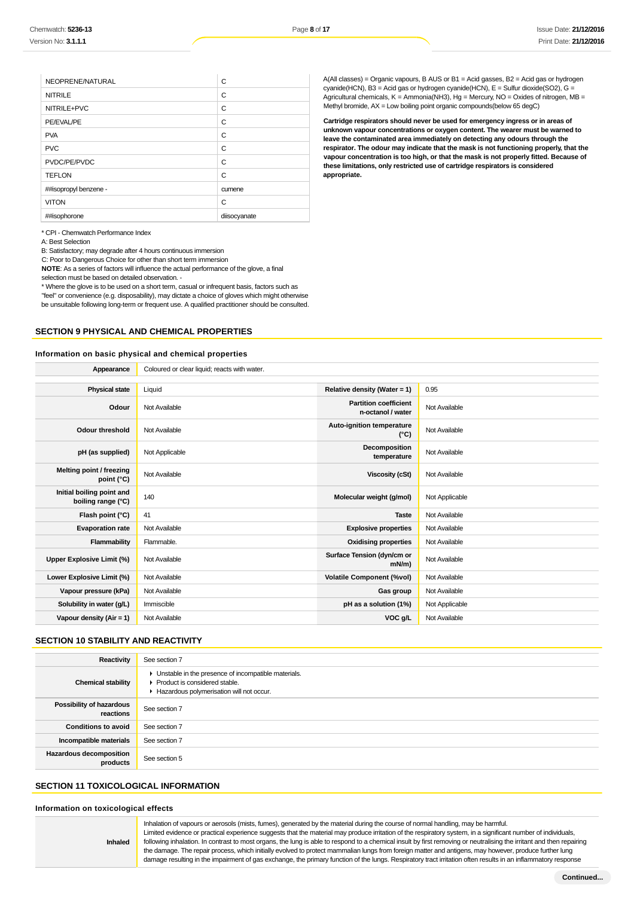| NEOPRENE/NATURAL      | C            |
|-----------------------|--------------|
| <b>NITRILE</b>        | C            |
| NITRILE+PVC           | C            |
| PE/EVAL/PE            | C            |
| <b>PVA</b>            | C            |
| <b>PVC</b>            | C            |
| PVDC/PE/PVDC          | C            |
| <b>TEFLON</b>         | C            |
| ##isopropyl benzene - | cumene       |
| <b>VITON</b>          | C            |
| ##isophorone          | diisocyanate |

A(All classes) = Organic vapours, B AUS or  $B1$  = Acid gasses,  $B2$  = Acid gas or hydrogen cyanide(HCN), B3 = Acid gas or hydrogen cyanide(HCN), E = Sulfur dioxide(SO2), G = Agricultural chemicals,  $K =$  Ammonia(NH3), Hg = Mercury, NO = Oxides of nitrogen, MB = Methyl bromide, AX = Low boiling point organic compounds(below 65 degC)

**Cartridge respirators should never be used for emergency ingress or in areas of unknown vapour concentrations or oxygen content. The wearer must be warned to leave the contaminated area immediately on detecting any odours through the respirator. The odour may indicate that the mask is not functioning properly, that the vapour concentration is too high, or that the mask is not properly fitted. Because of these limitations, only restricted use of cartridge respirators is considered appropriate.**

\* CPI - Chemwatch Performance Index

A: Best Selection

B: Satisfactory; may degrade after 4 hours continuous immersion

C: Poor to Dangerous Choice for other than short term immersion

**NOTE**: As a series of factors will influence the actual performance of the glove, a final selection must be based on detailed observation. -

\* Where the glove is to be used on a short term, casual or infrequent basis, factors such as

"feel" or convenience (e.g. disposability), may dictate a choice of gloves which might otherwise

be unsuitable following long-term or frequent use. A qualified practitioner should be consulted.

**Appearance** Coloured or clear liquid; reacts with water.

### **SECTION 9 PHYSICAL AND CHEMICAL PROPERTIES**

### **Information on basic physical and chemical properties**

| <b>Physical state</b>                           | Liquid         | Relative density (Water = 1)                      | 0.95           |
|-------------------------------------------------|----------------|---------------------------------------------------|----------------|
| Odour                                           | Not Available  | <b>Partition coefficient</b><br>n-octanol / water | Not Available  |
| <b>Odour threshold</b>                          | Not Available  | Auto-ignition temperature<br>$(^{\circ}C)$        | Not Available  |
| pH (as supplied)                                | Not Applicable | Decomposition<br>temperature                      | Not Available  |
| Melting point / freezing<br>point $(^{\circ}C)$ | Not Available  | Viscosity (cSt)                                   | Not Available  |
| Initial boiling point and<br>boiling range (°C) | 140            | Molecular weight (g/mol)                          | Not Applicable |
| Flash point (°C)                                | 41             | <b>Taste</b>                                      | Not Available  |
| <b>Evaporation rate</b>                         | Not Available  | <b>Explosive properties</b>                       | Not Available  |
| Flammability                                    | Flammable.     | <b>Oxidising properties</b>                       | Not Available  |
| Upper Explosive Limit (%)                       | Not Available  | Surface Tension (dyn/cm or<br>$mN/m$ )            | Not Available  |
| Lower Explosive Limit (%)                       | Not Available  | <b>Volatile Component (%vol)</b>                  | Not Available  |
| Vapour pressure (kPa)                           | Not Available  | Gas group                                         | Not Available  |
| Solubility in water (g/L)                       | Immiscible     | pH as a solution (1%)                             | Not Applicable |
| Vapour density ( $Air = 1$ )                    | Not Available  | VOC g/L                                           | Not Available  |

### **SECTION 10 STABILITY AND REACTIVITY**

| Reactivity                                 | See section 7                                                                                                                        |
|--------------------------------------------|--------------------------------------------------------------------------------------------------------------------------------------|
| <b>Chemical stability</b>                  | • Unstable in the presence of incompatible materials.<br>▶ Product is considered stable.<br>Hazardous polymerisation will not occur. |
| Possibility of hazardous<br>reactions      | See section 7                                                                                                                        |
| <b>Conditions to avoid</b>                 | See section 7                                                                                                                        |
| Incompatible materials                     | See section 7                                                                                                                        |
| <b>Hazardous decomposition</b><br>products | See section 5                                                                                                                        |

### **SECTION 11 TOXICOLOGICAL INFORMATION**

### **Information on toxicological effects**

**Inhaled**

Inhalation of vapours or aerosols (mists, fumes), generated by the material during the course of normal handling, may be harmful. Limited evidence or practical experience suggests that the material may produce irritation of the respiratory system, in a significant number of individuals, following inhalation. In contrast to most organs, the lung is able to respond to a chemical insult by first removing or neutralising the irritant and then repairing the damage. The repair process, which initially evolved to protect mammalian lungs from foreign matter and antigens, may however, produce further lung damage resulting in the impairment of gas exchange, the primary function of the lungs. Respiratory tract irritation often results in an inflammatory response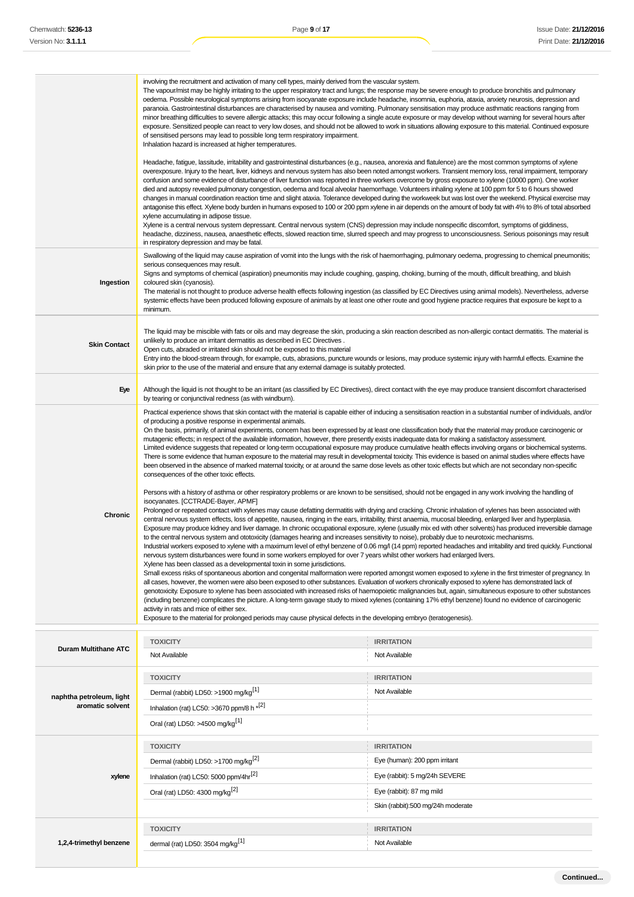|                             | involving the recruitment and activation of many cell types, mainly derived from the vascular system.<br>The vapour/mist may be highly irritating to the upper respiratory tract and lungs; the response may be severe enough to produce bronchitis and pulmonary<br>oedema. Possible neurological symptoms arising from isocyanate exposure include headache, insomnia, euphoria, ataxia, anxiety neurosis, depression and<br>paranoia. Gastrointestinal disturbances are characterised by nausea and vomiting. Pulmonary sensitisation may produce asthmatic reactions ranging from<br>minor breathing difficulties to severe allergic attacks; this may occur following a single acute exposure or may develop without warning for several hours after<br>exposure. Sensitized people can react to very low doses, and should not be allowed to work in situations allowing exposure to this material. Continued exposure<br>of sensitised persons may lead to possible long term respiratory impairment.<br>Inhalation hazard is increased at higher temperatures.<br>Headache, fatigue, lassitude, irritability and gastrointestinal disturbances (e.g., nausea, anorexia and flatulence) are the most common symptoms of xylene<br>overexposure. Injury to the heart, liver, kidneys and nervous system has also been noted amongst workers. Transient memory loss, renal impairment, temporary<br>confusion and some evidence of disturbance of liver function was reported in three workers overcome by gross exposure to xylene (10000 ppm). One worker<br>died and autopsy revealed pulmonary congestion, oedema and focal alveolar haemorrhage. Volunteers inhaling xylene at 100 ppm for 5 to 6 hours showed<br>changes in manual coordination reaction time and slight ataxia. Tolerance developed during the workweek but was lost over the weekend. Physical exercise may<br>antagonise this effect. Xylene body burden in humans exposed to 100 or 200 ppm xylene in air depends on the amount of body fat with 4% to 8% of total absorbed<br>xylene accumulating in adipose tissue.<br>Xylene is a central nervous system depressant. Central nervous system (CNS) depression may include nonspecific discomfort, symptoms of giddiness,                                                                                                                                                                                                                |                                                                                                                                                                                                                                                                                                                                                                                                                                                                                                                                                                                                                                                                            |
|-----------------------------|--------------------------------------------------------------------------------------------------------------------------------------------------------------------------------------------------------------------------------------------------------------------------------------------------------------------------------------------------------------------------------------------------------------------------------------------------------------------------------------------------------------------------------------------------------------------------------------------------------------------------------------------------------------------------------------------------------------------------------------------------------------------------------------------------------------------------------------------------------------------------------------------------------------------------------------------------------------------------------------------------------------------------------------------------------------------------------------------------------------------------------------------------------------------------------------------------------------------------------------------------------------------------------------------------------------------------------------------------------------------------------------------------------------------------------------------------------------------------------------------------------------------------------------------------------------------------------------------------------------------------------------------------------------------------------------------------------------------------------------------------------------------------------------------------------------------------------------------------------------------------------------------------------------------------------------------------------------------------------------------------------------------------------------------------------------------------------------------------------------------------------------------------------------------------------------------------------------------------------------------------------------------------------------------------------------------------------------------------------------------------------------------------------------------------------------------------------------------------|----------------------------------------------------------------------------------------------------------------------------------------------------------------------------------------------------------------------------------------------------------------------------------------------------------------------------------------------------------------------------------------------------------------------------------------------------------------------------------------------------------------------------------------------------------------------------------------------------------------------------------------------------------------------------|
| Ingestion                   | headache, dizziness, nausea, anaesthetic effects, slowed reaction time, slurred speech and may progress to unconsciousness. Serious poisonings may result<br>in respiratory depression and may be fatal.<br>Swallowing of the liquid may cause aspiration of vomit into the lungs with the risk of haemorrhaging, pulmonary oedema, progressing to chemical pneumonitis;<br>serious consequences may result.<br>Signs and symptoms of chemical (aspiration) pneumonitis may include coughing, gasping, choking, burning of the mouth, difficult breathing, and bluish<br>coloured skin (cyanosis).<br>The material is not thought to produce adverse health effects following ingestion (as classified by EC Directives using animal models). Nevertheless, adverse<br>systemic effects have been produced following exposure of animals by at least one other route and good hygiene practice requires that exposure be kept to a                                                                                                                                                                                                                                                                                                                                                                                                                                                                                                                                                                                                                                                                                                                                                                                                                                                                                                                                                                                                                                                                                                                                                                                                                                                                                                                                                                                                                                                                                                                                       |                                                                                                                                                                                                                                                                                                                                                                                                                                                                                                                                                                                                                                                                            |
| <b>Skin Contact</b>         | minimum.<br>The liquid may be miscible with fats or oils and may degrease the skin, producing a skin reaction described as non-allergic contact dermatitis. The material is<br>unlikely to produce an irritant dermatitis as described in EC Directives.<br>Open cuts, abraded or irritated skin should not be exposed to this material<br>Entry into the blood-stream through, for example, cuts, abrasions, puncture wounds or lesions, may produce systemic injury with harmful effects. Examine the<br>skin prior to the use of the material and ensure that any external damage is suitably protected.                                                                                                                                                                                                                                                                                                                                                                                                                                                                                                                                                                                                                                                                                                                                                                                                                                                                                                                                                                                                                                                                                                                                                                                                                                                                                                                                                                                                                                                                                                                                                                                                                                                                                                                                                                                                                                                              |                                                                                                                                                                                                                                                                                                                                                                                                                                                                                                                                                                                                                                                                            |
| Eye                         | Although the liquid is not thought to be an irritant (as classified by EC Directives), direct contact with the eye may produce transient discomfort characterised<br>by tearing or conjunctival redness (as with windburn).                                                                                                                                                                                                                                                                                                                                                                                                                                                                                                                                                                                                                                                                                                                                                                                                                                                                                                                                                                                                                                                                                                                                                                                                                                                                                                                                                                                                                                                                                                                                                                                                                                                                                                                                                                                                                                                                                                                                                                                                                                                                                                                                                                                                                                              |                                                                                                                                                                                                                                                                                                                                                                                                                                                                                                                                                                                                                                                                            |
| Chronic                     | of producing a positive response in experimental animals.<br>On the basis, primarily, of animal experiments, concern has been expressed by at least one classification body that the material may produce carcinogenic or<br>mutagenic effects; in respect of the available information, however, there presently exists inadequate data for making a satisfactory assessment.<br>Limited evidence suggests that repeated or long-term occupational exposure may produce cumulative health effects involving organs or biochemical systems.<br>There is some evidence that human exposure to the material may result in developmental toxicity. This evidence is based on animal studies where effects have<br>been observed in the absence of marked maternal toxicity, or at around the same dose levels as other toxic effects but which are not secondary non-specific<br>consequences of the other toxic effects.<br>Persons with a history of asthma or other respiratory problems or are known to be sensitised, should not be engaged in any work involving the handling of<br>isocyanates. [CCTRADE-Bayer, APMF]<br>Prolonged or repeated contact with xylenes may cause defatting dermatitis with drying and cracking. Chronic inhalation of xylenes has been associated with<br>central nervous system effects, loss of appetite, nausea, ringing in the ears, irritability, thirst anaemia, mucosal bleeding, enlarged liver and hyperplasia.<br>to the central nervous system and ototoxicity (damages hearing and increases sensitivity to noise), probably due to neurotoxic mechanisms.<br>nervous system disturbances were found in some workers employed for over 7 years whilst other workers had enlarged livers.<br>Xylene has been classed as a developmental toxin in some jurisdictions.<br>Small excess risks of spontaneous abortion and congenital malformation were reported amongst women exposed to xylene in the first trimester of pregnancy. In<br>all cases, however, the women were also been exposed to other substances. Evaluation of workers chronically exposed to xylene has demonstrated lack of<br>(including benzene) complicates the picture. A long-term gavage study to mixed xylenes (containing 17% ethyl benzene) found no evidence of carcinogenic<br>activity in rats and mice of either sex.<br>Exposure to the material for prolonged periods may cause physical defects in the developing embryo (teratogenesis). | Practical experience shows that skin contact with the material is capable either of inducing a sensitisation reaction in a substantial number of individuals, and/or<br>Exposure may produce kidney and liver damage. In chronic occupational exposure, xylene (usually mix ed with other solvents) has produced irreversible damage<br>Industrial workers exposed to xylene with a maximum level of ethyl benzene of 0.06 mg/l (14 ppm) reported headaches and irritability and tired quickly. Functional<br>genotoxicity. Exposure to xylene has been associated with increased risks of haemopoietic malignancies but, again, simultaneous exposure to other substances |
|                             | <b>TOXICITY</b>                                                                                                                                                                                                                                                                                                                                                                                                                                                                                                                                                                                                                                                                                                                                                                                                                                                                                                                                                                                                                                                                                                                                                                                                                                                                                                                                                                                                                                                                                                                                                                                                                                                                                                                                                                                                                                                                                                                                                                                                                                                                                                                                                                                                                                                                                                                                                                                                                                                          | <b>IRRITATION</b>                                                                                                                                                                                                                                                                                                                                                                                                                                                                                                                                                                                                                                                          |
| <b>Duram Multithane ATC</b> | Not Available                                                                                                                                                                                                                                                                                                                                                                                                                                                                                                                                                                                                                                                                                                                                                                                                                                                                                                                                                                                                                                                                                                                                                                                                                                                                                                                                                                                                                                                                                                                                                                                                                                                                                                                                                                                                                                                                                                                                                                                                                                                                                                                                                                                                                                                                                                                                                                                                                                                            | Not Available                                                                                                                                                                                                                                                                                                                                                                                                                                                                                                                                                                                                                                                              |
|                             | <b>TOXICITY</b>                                                                                                                                                                                                                                                                                                                                                                                                                                                                                                                                                                                                                                                                                                                                                                                                                                                                                                                                                                                                                                                                                                                                                                                                                                                                                                                                                                                                                                                                                                                                                                                                                                                                                                                                                                                                                                                                                                                                                                                                                                                                                                                                                                                                                                                                                                                                                                                                                                                          | <b>IRRITATION</b>                                                                                                                                                                                                                                                                                                                                                                                                                                                                                                                                                                                                                                                          |
| naphtha petroleum, light    | Dermal (rabbit) LD50: >1900 mg/kg <sup>[1]</sup>                                                                                                                                                                                                                                                                                                                                                                                                                                                                                                                                                                                                                                                                                                                                                                                                                                                                                                                                                                                                                                                                                                                                                                                                                                                                                                                                                                                                                                                                                                                                                                                                                                                                                                                                                                                                                                                                                                                                                                                                                                                                                                                                                                                                                                                                                                                                                                                                                         | Not Available                                                                                                                                                                                                                                                                                                                                                                                                                                                                                                                                                                                                                                                              |

**xylene TOXICITY IRRITATION** Dermal (rabbit) LD50: >1700 mg/kg<sup>[2]</sup> execution of the state of the state of the state of the state of the state of the state of the state of the state of the state of the state of the state of the state of the state of t Inhalation (rat) LC50: 5000 ppm/4hr<sup>[2]</sup> exercise the state of the state of the state of the state of the state of the state of the state of the state of the state of the state of the state of the state of the state of the Oral (rat) LD50: 4300 mg/kg<sup>[2]</sup> eye (rabbit): 87 mg mild **TOXICITY IRRITATION** dermal (rat) LD50: 3504 mg/kg<sup>[1]</sup> Not Available

Inhalation (rat) LC50: >3670 ppm/8 h \*[2] Oral (rat) LD50: >4500 mg/kg[1]

**1,2,4-trimethyl benzene**

**aromatic solvent**

Skin (rabbit):500 mg/24h moderate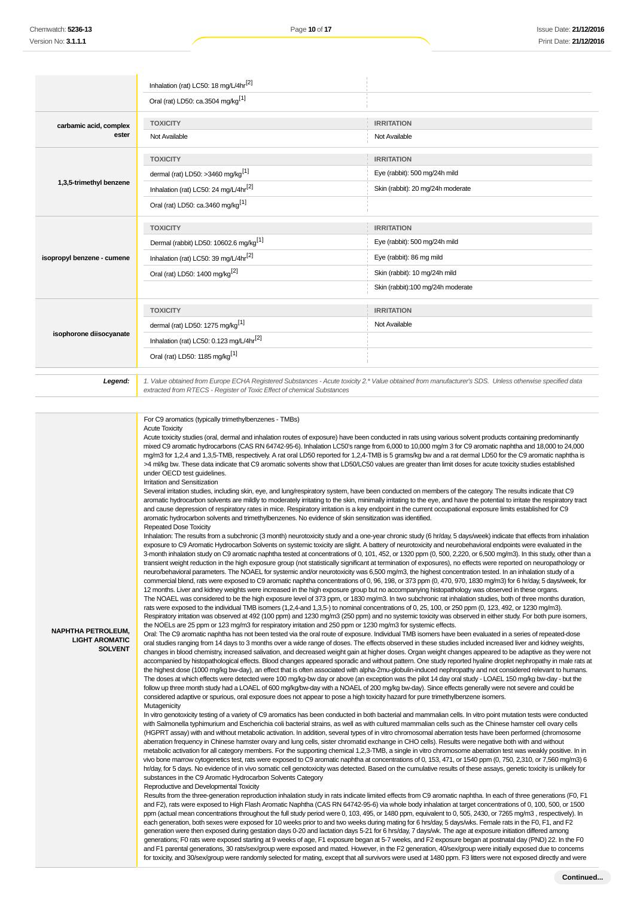|                            | Inhalation (rat) LC50: 18 mg/L/4hr <sup>[2]</sup>                              |                                                                                                                                                       |
|----------------------------|--------------------------------------------------------------------------------|-------------------------------------------------------------------------------------------------------------------------------------------------------|
|                            | Oral (rat) LD50: ca.3504 mg/kg <sup>[1]</sup>                                  |                                                                                                                                                       |
| carbamic acid, complex     | <b>TOXICITY</b>                                                                | <b>IRRITATION</b>                                                                                                                                     |
| ester                      | Not Available                                                                  | Not Available                                                                                                                                         |
|                            | <b>TOXICITY</b>                                                                | <b>IRRITATION</b>                                                                                                                                     |
|                            | dermal (rat) LD50: >3460 mg/kg <sup>[1]</sup>                                  | Eye (rabbit): 500 mg/24h mild                                                                                                                         |
| 1,3,5-trimethyl benzene    | Inhalation (rat) LC50: 24 mg/L/4hr <sup>[2]</sup>                              | Skin (rabbit): 20 mg/24h moderate                                                                                                                     |
|                            | Oral (rat) LD50: ca.3460 mg/kg <sup>[1]</sup>                                  |                                                                                                                                                       |
|                            | <b>TOXICITY</b>                                                                | <b>IRRITATION</b>                                                                                                                                     |
|                            | Dermal (rabbit) LD50: 10602.6 mg/kg <sup>[1]</sup>                             | Eye (rabbit): 500 mg/24h mild                                                                                                                         |
| isopropyl benzene - cumene | Inhalation (rat) LC50: 39 mg/L/4hr <sup>[2]</sup>                              | Eye (rabbit): 86 mg mild                                                                                                                              |
|                            | Oral (rat) LD50: 1400 mg/kg <sup>[2]</sup>                                     | Skin (rabbit): 10 mg/24h mild                                                                                                                         |
|                            |                                                                                | Skin (rabbit):100 mg/24h moderate                                                                                                                     |
|                            | <b>TOXICITY</b>                                                                | <b>IRRITATION</b>                                                                                                                                     |
|                            | dermal (rat) LD50: 1275 mg/kg <sup>[1]</sup>                                   | Not Available                                                                                                                                         |
| isophorone diisocyanate    | Inhalation (rat) LC50: 0.123 mg/L/4hr <sup>[2]</sup>                           |                                                                                                                                                       |
|                            | Oral (rat) LD50: 1185 mg/kg <sup>[1]</sup>                                     |                                                                                                                                                       |
| Legend:                    | extracted from RTECS - Register of Toxic Effect of chemical Substances         | 1. Value obtained from Europe ECHA Registered Substances - Acute toxicity 2.* Value obtained from manufacturer's SDS. Unless otherwise specified data |
|                            |                                                                                |                                                                                                                                                       |
|                            | For C9 aromatics (typically trimethylbenzenes - TMBs)<br><b>Acute Toxicity</b> |                                                                                                                                                       |

**NAPHTHA PETROLEUM, LIGHT AROMATIC SOLVENT** Acute toxicity studies (oral, dermal and inhalation routes of exposure) have been conducted in rats using various solvent products containing predominantly mixed C9 aromatic hydrocarbons (CAS RN 64742-95-6). Inhalation LC50's range from 6,000 to 10,000 mg/m 3 for C9 aromatic naphtha and 18,000 to 24,000 mg/m3 for 1,2,4 and 1,3,5-TMB, respectively. A rat oral LD50 reported for 1,2,4-TMB is 5 grams/kg bw and a rat dermal LD50 for the C9 aromatic naphtha is >4 ml/kg bw. These data indicate that C9 aromatic solvents show that LD50/LC50 values are greater than limit doses for acute toxicity studies established under OECD test guidelines. Irritation and Sensitization Several irritation studies, including skin, eye, and lung/respiratory system, have been conducted on members of the category. The results indicate that C9 aromatic hydrocarbon solvents are mildly to moderately irritating to the skin, minimally irritating to the eye, and have the potential to irritate the respiratory tract and cause depression of respiratory rates in mice. Respiratory irritation is a key endpoint in the current occupational exposure limits established for C9 aromatic hydrocarbon solvents and trimethylbenzenes. No evidence of skin sensitization was identified. Repeated Dose Toxicity Inhalation: The results from a subchronic (3 month) neurotoxicity study and a one-year chronic study (6 hr/day, 5 days/week) indicate that effects from inhalation exposure to C9 Aromatic Hydrocarbon Solvents on systemic toxicity are slight. A battery of neurotoxicity and neurobehavioral endpoints were evaluated in the 3-month inhalation study on C9 aromatic naphtha tested at concentrations of 0, 101, 452, or 1320 ppm (0, 500, 2,220, or 6,500 mg/m3). In this study, other than a transient weight reduction in the high exposure group (not statistically significant at termination of exposures), no effects were reported on neuropathology or neuro/behavioral parameters. The NOAEL for systemic and/or neurotoxicity was 6,500 mg/m3, the highest concentration tested. In an inhalation study of a commercial blend, rats were exposed to C9 aromatic naphtha concentrations of 0, 96, 198, or 373 ppm (0, 470, 970, 1830 mg/m3) for 6 hr/day, 5 days/week, for 12 months. Liver and kidney weights were increased in the high exposure group but no accompanying histopathology was observed in these organs. The NOAEL was considered to be the high exposure level of 373 ppm, or 1830 mg/m3. In two subchronic rat inhalation studies, both of three months duration, rats were exposed to the individual TMB isomers (1,2,4-and 1,3,5-) to nominal concentrations of 0, 25, 100, or 250 ppm (0, 123, 492, or 1230 mg/m3). Respiratory irritation was observed at 492 (100 ppm) and 1230 mg/m3 (250 ppm) and no systemic toxicity was observed in either study. For both pure isomers, the NOELs are 25 ppm or 123 mg/m3 for respiratory irritation and 250 ppm or 1230 mg/m3 for systemic effects. Oral: The C9 aromatic naphtha has not been tested via the oral route of exposure. Individual TMB isomers have been evaluated in a series of repeated-dose oral studies ranging from 14 days to 3 months over a wide range of doses. The effects observed in these studies included increased liver and kidney weights,

changes in blood chemistry, increased salivation, and decreased weight gain at higher doses. Organ weight changes appeared to be adaptive as they were not accompanied by histopathological effects. Blood changes appeared sporadic and without pattern. One study reported hyaline droplet nephropathy in male rats at the highest dose (1000 mg/kg bw-day), an effect that is often associated with alpha-2mu-globulin-induced nephropathy and not considered relevant to humans. The doses at which effects were detected were 100 mg/kg-bw day or above (an exception was the pilot 14 day oral study - LOAEL 150 mg/kg bw-day - but the follow up three month study had a LOAEL of 600 mg/kg/bw-day with a NOAEL of 200 mg/kg bw-day). Since effects generally were not severe and could be considered adaptive or spurious, oral exposure does not appear to pose a high toxicity hazard for pure trimethylbenzene isomers. Mutagenicity

In vitro genotoxicity testing of a variety of C9 aromatics has been conducted in both bacterial and mammalian cells. In vitro point mutation tests were conducted with Salmonella typhimurium and Escherichia coli bacterial strains, as well as with cultured mammalian cells such as the Chinese hamster cell ovary cells (HGPRT assay) with and without metabolic activation. In addition, several types of in vitro chromosomal aberration tests have been performed (chromosome aberration frequency in Chinese hamster ovary and lung cells, sister chromatid exchange in CHO cells). Results were negative both with and without metabolic activation for all category members. For the supporting chemical 1,2,3-TMB, a single in vitro chromosome aberration test was weakly positive. In in vivo bone marrow cytogenetics test, rats were exposed to C9 aromatic naphtha at concentrations of 0, 153, 471, or 1540 ppm (0, 750, 2,310, or 7,560 mg/m3) 6 hr/day, for 5 days. No evidence of in vivo somatic cell genotoxicity was detected. Based on the cumulative results of these assays, genetic toxicity is unlikely for substances in the C9 Aromatic Hydrocarbon Solvents Category

Reproductive and Developmental Toxicity Results from the three-generation reproduction inhalation study in rats indicate limited effects from C9 aromatic naphtha. In each of three generations (F0, F1 and F2), rats were exposed to High Flash Aromatic Naphtha (CAS RN 64742-95-6) via whole body inhalation at target concentrations of 0, 100, 500, or 1500 ppm (actual mean concentrations throughout the full study period were 0, 103, 495, or 1480 ppm, equivalent to 0, 505, 2430, or 7265 mg/m3 , respectively). In each generation, both sexes were exposed for 10 weeks prior to and two weeks during mating for 6 hrs/day, 5 days/wks. Female rats in the F0, F1, and F2 generation were then exposed during gestation days 0-20 and lactation days 5-21 for 6 hrs/day, 7 days/wk. The age at exposure initiation differed among generations; F0 rats were exposed starting at 9 weeks of age, F1 exposure began at 5-7 weeks, and F2 exposure began at postnatal day (PND) 22. In the F0 and F1 parental generations, 30 rats/sex/group were exposed and mated. However, in the F2 generation, 40/sex/group were initially exposed due to concerns for toxicity, and 30/sex/group were randomly selected for mating, except that all survivors were used at 1480 ppm. F3 litters were not exposed directly and were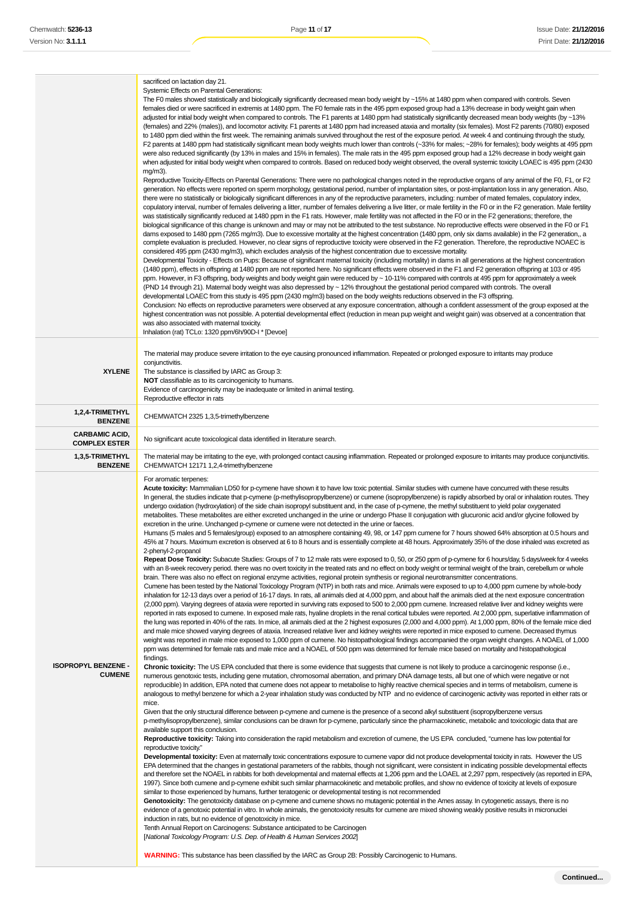|                                               | sacrificed on lactation day 21.<br>Systemic Effects on Parental Generations:<br>The F0 males showed statistically and biologically significantly decreased mean body weight by ~15% at 1480 ppm when compared with controls. Seven<br>females died or were sacrificed in extremis at 1480 ppm. The F0 female rats in the 495 ppm exposed group had a 13% decrease in body weight gain when<br>adjusted for initial body weight when compared to controls. The F1 parents at 1480 ppm had statistically significantly decreased mean body weights (by ~13%<br>(females) and 22% (males)), and locomotor activity. F1 parents at 1480 ppm had increased ataxia and mortality (six females). Most F2 parents (70/80) exposed<br>to 1480 ppm died within the first week. The remaining animals survived throughout the rest of the exposure period. At week 4 and continuing through the study,<br>F2 parents at 1480 ppm had statistically significant mean body weights much lower than controls (~33% for males; ~28% for females); body weights at 495 ppm<br>were also reduced significantly (by 13% in males and 15% in females). The male rats in the 495 ppm exposed group had a 12% decrease in body weight gain<br>when adjusted for initial body weight when compared to controls. Based on reduced body weight observed, the overall systemic toxicity LOAEC is 495 ppm (2430<br>$mg/m3$ ).<br>Reproductive Toxicity-Effects on Parental Generations: There were no pathological changes noted in the reproductive organs of any animal of the F0, F1, or F2<br>generation. No effects were reported on sperm morphology, gestational period, number of implantation sites, or post-implantation loss in any generation. Also,<br>there were no statistically or biologically significant differences in any of the reproductive parameters, including: number of mated females, copulatory index,<br>copulatory interval, number of females delivering a litter, number of females delivering a live litter, or male fertility in the F0 or in the F2 generation. Male fertility<br>was statistically significantly reduced at 1480 ppm in the F1 rats. However, male fertility was not affected in the F0 or in the F2 generations; therefore, the<br>biological significance of this change is unknown and may or may not be attributed to the test substance. No reproductive effects were observed in the F0 or F1<br>dams exposed to 1480 ppm (7265 mg/m3). Due to excessive mortality at the highest concentration (1480 ppm, only six dams available) in the F2 generation,, a<br>complete evaluation is precluded. However, no clear signs of reproductive toxicity were observed in the F2 generation. Therefore, the reproductive NOAEC is<br>considered 495 ppm (2430 mg/m3), which excludes analysis of the highest concentration due to excessive mortality.<br>Developmental Toxicity - Effects on Pups: Because of significant maternal toxicity (including mortality) in dams in all generations at the highest concentration<br>(1480 ppm), effects in offspring at 1480 ppm are not reported here. No significant effects were observed in the F1 and F2 generation offspring at 103 or 495<br>ppm. However, in F3 offspring, body weights and body weight gain were reduced by ~ 10-11% compared with controls at 495 ppm for approximately a week<br>(PND 14 through 21). Maternal body weight was also depressed by ~12% throughout the gestational period compared with controls. The overall<br>developmental LOAEC from this study is 495 ppm (2430 mg/m3) based on the body weights reductions observed in the F3 offspring.<br>Conclusion: No effects on reproductive parameters were observed at any exposure concentration, although a confident assessment of the group exposed at the<br>highest concentration was not possible. A potential developmental effect (reduction in mean pup weight and weight gain) was observed at a concentration that<br>was also associated with maternal toxicity.                                                                                                                                                                                                                                                                                                                                                                                                                                                                                                                                                                                                                                                                                                                                                                                                                                                                                                                                                                                                                                                                                                                                                                                                                                                                                                                                                                                                                                                                                                           |
|-----------------------------------------------|-------------------------------------------------------------------------------------------------------------------------------------------------------------------------------------------------------------------------------------------------------------------------------------------------------------------------------------------------------------------------------------------------------------------------------------------------------------------------------------------------------------------------------------------------------------------------------------------------------------------------------------------------------------------------------------------------------------------------------------------------------------------------------------------------------------------------------------------------------------------------------------------------------------------------------------------------------------------------------------------------------------------------------------------------------------------------------------------------------------------------------------------------------------------------------------------------------------------------------------------------------------------------------------------------------------------------------------------------------------------------------------------------------------------------------------------------------------------------------------------------------------------------------------------------------------------------------------------------------------------------------------------------------------------------------------------------------------------------------------------------------------------------------------------------------------------------------------------------------------------------------------------------------------------------------------------------------------------------------------------------------------------------------------------------------------------------------------------------------------------------------------------------------------------------------------------------------------------------------------------------------------------------------------------------------------------------------------------------------------------------------------------------------------------------------------------------------------------------------------------------------------------------------------------------------------------------------------------------------------------------------------------------------------------------------------------------------------------------------------------------------------------------------------------------------------------------------------------------------------------------------------------------------------------------------------------------------------------------------------------------------------------------------------------------------------------------------------------------------------------------------------------------------------------------------------------------------------------------------------------------------------------------------------------------------------------------------------------------------------------------------------------------------------------------------------------------------------------------------------------------------------------------------------------------------------------------------------------------------------------------------------------------------------------------------------------------------------------------------------------------------------------------------------------------------------------------------------------------------------------------------------------------------------------------------------------------------------------------------------------------------------------------------------------------------------------------------------------------------------------------------------------------------------------------------------------------------------------------------------------------------------------------------------------------------------------------------------------------------------------------------------------------------------------------------------------------------------------------------------------------------------------------------------------------------------------------------------------------------------------------------------------------------------------------------------------------------------------------------------------------------------------------------------------------------------------------------------------------------------------------------------------------------------------------------------------------------------------------------------------------------------------------------------------------------------------------------------------------------------------------------------------------------------------------------------------------------------------------------------------------------------------------------------------------------------------------------------------------------------------------------------------------------------------------------------------------------------------------------------------------------------------------------------------------------|
|                                               | Inhalation (rat) TCLo: 1320 ppm/6h/90D-I * [Devoe]                                                                                                                                                                                                                                                                                                                                                                                                                                                                                                                                                                                                                                                                                                                                                                                                                                                                                                                                                                                                                                                                                                                                                                                                                                                                                                                                                                                                                                                                                                                                                                                                                                                                                                                                                                                                                                                                                                                                                                                                                                                                                                                                                                                                                                                                                                                                                                                                                                                                                                                                                                                                                                                                                                                                                                                                                                                                                                                                                                                                                                                                                                                                                                                                                                                                                                                                                                                                                                                                                                                                                                                                                                                                                                                                                                                                                                                                                                                                                                                                                                                                                                                                                                                                                                                                                                                                                                                                                                                                                                                                                                                                                                                                                                                                                                                                                                                                                                                                                                                                                                                                                                                                                                                                                                                                                                                                                                                                                                                                                                    |
| <b>XYLENE</b>                                 | The material may produce severe irritation to the eye causing pronounced inflammation. Repeated or prolonged exposure to irritants may produce<br>conjunctivitis.<br>The substance is classified by IARC as Group 3:<br><b>NOT</b> classifiable as to its carcinogenicity to humans.<br>Evidence of carcinogenicity may be inadequate or limited in animal testing.<br>Reproductive effector in rats                                                                                                                                                                                                                                                                                                                                                                                                                                                                                                                                                                                                                                                                                                                                                                                                                                                                                                                                                                                                                                                                                                                                                                                                                                                                                                                                                                                                                                                                                                                                                                                                                                                                                                                                                                                                                                                                                                                                                                                                                                                                                                                                                                                                                                                                                                                                                                                                                                                                                                                                                                                                                                                                                                                                                                                                                                                                                                                                                                                                                                                                                                                                                                                                                                                                                                                                                                                                                                                                                                                                                                                                                                                                                                                                                                                                                                                                                                                                                                                                                                                                                                                                                                                                                                                                                                                                                                                                                                                                                                                                                                                                                                                                                                                                                                                                                                                                                                                                                                                                                                                                                                                                                  |
| 1,2,4-TRIMETHYL<br><b>BENZENE</b>             | CHEMWATCH 2325 1,3,5-trimethylbenzene                                                                                                                                                                                                                                                                                                                                                                                                                                                                                                                                                                                                                                                                                                                                                                                                                                                                                                                                                                                                                                                                                                                                                                                                                                                                                                                                                                                                                                                                                                                                                                                                                                                                                                                                                                                                                                                                                                                                                                                                                                                                                                                                                                                                                                                                                                                                                                                                                                                                                                                                                                                                                                                                                                                                                                                                                                                                                                                                                                                                                                                                                                                                                                                                                                                                                                                                                                                                                                                                                                                                                                                                                                                                                                                                                                                                                                                                                                                                                                                                                                                                                                                                                                                                                                                                                                                                                                                                                                                                                                                                                                                                                                                                                                                                                                                                                                                                                                                                                                                                                                                                                                                                                                                                                                                                                                                                                                                                                                                                                                                 |
| <b>CARBAMIC ACID,</b><br><b>COMPLEX ESTER</b> | No significant acute toxicological data identified in literature search.                                                                                                                                                                                                                                                                                                                                                                                                                                                                                                                                                                                                                                                                                                                                                                                                                                                                                                                                                                                                                                                                                                                                                                                                                                                                                                                                                                                                                                                                                                                                                                                                                                                                                                                                                                                                                                                                                                                                                                                                                                                                                                                                                                                                                                                                                                                                                                                                                                                                                                                                                                                                                                                                                                                                                                                                                                                                                                                                                                                                                                                                                                                                                                                                                                                                                                                                                                                                                                                                                                                                                                                                                                                                                                                                                                                                                                                                                                                                                                                                                                                                                                                                                                                                                                                                                                                                                                                                                                                                                                                                                                                                                                                                                                                                                                                                                                                                                                                                                                                                                                                                                                                                                                                                                                                                                                                                                                                                                                                                              |
| 1,3,5-TRIMETHYL<br><b>BENZENE</b>             | The material may be irritating to the eye, with prolonged contact causing inflammation. Repeated or prolonged exposure to irritants may produce conjunctivitis.<br>CHEMWATCH 12171 1,2,4-trimethylbenzene                                                                                                                                                                                                                                                                                                                                                                                                                                                                                                                                                                                                                                                                                                                                                                                                                                                                                                                                                                                                                                                                                                                                                                                                                                                                                                                                                                                                                                                                                                                                                                                                                                                                                                                                                                                                                                                                                                                                                                                                                                                                                                                                                                                                                                                                                                                                                                                                                                                                                                                                                                                                                                                                                                                                                                                                                                                                                                                                                                                                                                                                                                                                                                                                                                                                                                                                                                                                                                                                                                                                                                                                                                                                                                                                                                                                                                                                                                                                                                                                                                                                                                                                                                                                                                                                                                                                                                                                                                                                                                                                                                                                                                                                                                                                                                                                                                                                                                                                                                                                                                                                                                                                                                                                                                                                                                                                             |
| <b>ISOPROPYL BENZENE -</b><br><b>CUMENE</b>   | For aromatic terpenes:<br>Acute toxicity: Mammalian LD50 for p-cymene have shown it to have low toxic potential. Similar studies with cumene have concurred with these results<br>In general, the studies indicate that p-cymene (p-methylisopropylbenzene) or cumene (isopropylbenzene) is rapidly absorbed by oral or inhalation routes. They<br>undergo oxidation (hydroxylation) of the side chain isopropyl substituent and, in the case of p-cymene, the methyl substituent to yield polar oxygenated<br>metabolites. These metabolites are either excreted unchanged in the urine or undergo Phase II conjugation with glucuronic acid and/or glycine followed by<br>excretion in the urine. Unchanged p-cymene or cumene were not detected in the urine or faeces.<br>Humans (5 males and 5 females/group) exposed to an atmosphere containing 49, 98, or 147 ppm cumene for 7 hours showed 64% absorption at 0.5 hours and<br>45% at 7 hours. Maximum excretion is observed at 6 to 8 hours and is essentially complete at 48 hours. Approximately 35% of the dose inhaled was excreted as<br>2-phenyl-2-propanol<br>Repeat Dose Toxicity: Subacute Studies: Groups of 7 to 12 male rats were exposed to 0, 50, or 250 ppm of p-cymene for 6 hours/day, 5 days/week for 4 weeks<br>with an 8-week recovery period. there was no overt toxicity in the treated rats and no effect on body weight or terminal weight of the brain, cerebellum or whole<br>brain. There was also no effect on regional enzyme activities, regional protein synthesis or regional neurotransmitter concentrations.<br>Cumene has been tested by the National Toxicology Program (NTP) in both rats and mice. Animals were exposed to up to 4,000 ppm cumene by whole-body<br>inhalation for 12-13 days over a period of 16-17 days. In rats, all animals died at 4,000 ppm, and about half the animals died at the next exposure concentration<br>(2,000 ppm). Varying degrees of ataxia were reported in surviving rats exposed to 500 to 2,000 ppm cumene. Increased relative liver and kidney weights were<br>reported in rats exposed to cumene. In exposed male rats, hyaline droplets in the renal cortical tubules were reported. At 2,000 ppm, superlative inflammation of<br>the lung was reported in 40% of the rats. In mice, all animals died at the 2 highest exposures (2,000 and 4,000 ppm). At 1,000 ppm, 80% of the female mice died<br>and male mice showed varying degrees of ataxia. Increased relative liver and kidney weights were reported in mice exposed to cumene. Decreased thymus<br>weight was reported in male mice exposed to 1,000 ppm of cumene. No histopathological findings accompanied the organ weight changes. A NOAEL of 1,000<br>ppm was determined for female rats and male mice and a NOAEL of 500 ppm was determined for female mice based on mortality and histopathological<br>findings.<br>Chronic toxicity: The US EPA concluded that there is some evidence that suggests that cumene is not likely to produce a carcinogenic response (i.e.,<br>numerous genotoxic tests, including gene mutation, chromosomal aberration, and primary DNA damage tests, all but one of which were negative or not<br>reproducible) In addition, EPA noted that cumene does not appear to metabolise to highly reactive chemical species and in terms of metabolism, cumene is<br>analogous to methyl benzene for which a 2-year inhalation study was conducted by NTP and no evidence of carcinogenic activity was reported in either rats or<br>mice.<br>Given that the only structural difference between p-cymene and cumene is the presence of a second alkyl substituent (isopropylbenzene versus<br>p-methylisopropylbenzene), similar conclusions can be drawn for p-cymene, particularly since the pharmacokinetic, metabolic and toxicologic data that are<br>available support this conclusion.<br>Reproductive toxicity: Taking into consideration the rapid metabolism and excretion of cumene, the US EPA concluded, "cumene has low potential for<br>reproductive toxicity."<br>Developmental toxicity: Even at maternally toxic concentrations exposure to cumene vapor did not produce developmental toxicity in rats. However the US<br>EPA determined that the changes in gestational parameters of the rabbits, though not significant, were consistent in indicating possible developmental effects<br>and therefore set the NOAEL in rabbits for both developmental and maternal effects at 1,206 ppm and the LOAEL at 2,297 ppm, respectively (as reported in EPA,<br>1997). Since both cumene and p-cymene exhibit such similar pharmacokinetic and metabolic profiles, and show no evidence of toxicity at levels of exposure<br>similar to those experienced by humans, further teratogenic or developmental testing is not recommended<br>Genotoxicity: The genotoxicity database on p-cymene and cumene shows no mutagenic potential in the Ames assay. In cytogenetic assays, there is no<br>evidence of a genotoxic potential in vitro. In whole animals, the genotoxicity results for cumene are mixed showing weakly positive results in micronuclei<br>induction in rats, but no evidence of genotoxicity in mice.<br>Tenth Annual Report on Carcinogens: Substance anticipated to be Carcinogen<br>[National Toxicology Program: U.S. Dep. of Health & Human Services 2002]<br><b>WARNING:</b> This substance has been classified by the IARC as Group 2B: Possibly Carcinogenic to Humans. |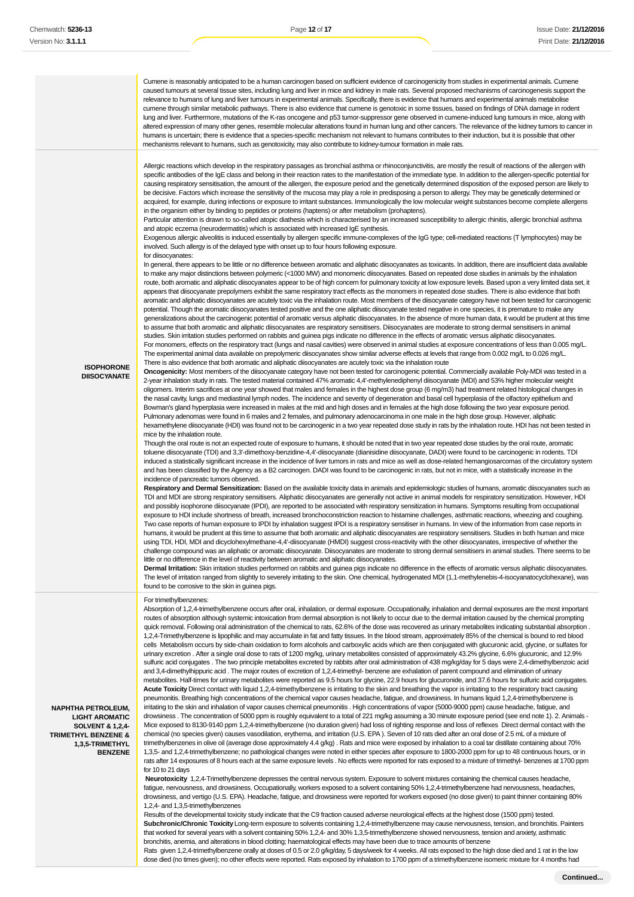|                                                                                                                                                          | Cumene is reasonably anticipated to be a human carcinogen based on sufficient evidence of carcinogenicity from studies in experimental animals. Cumene<br>caused tumours at several tissue sites, including lung and liver in mice and kidney in male rats. Several proposed mechanisms of carcinogenesis support the<br>relevance to humans of lung and liver tumours in experimental animals. Specifically, there is evidence that humans and experimental animals metabolise<br>cumene through similar metabolic pathways. There is also evidence that cumene is genotoxic in some tissues, based on findings of DNA damage in rodent<br>lung and liver. Furthermore, mutations of the K-ras oncogene and p53 tumor-suppressor gene observed in cumene-induced lung tumours in mice, along with<br>altered expression of many other genes, resemble molecular alterations found in human lung and other cancers. The relevance of the kidney tumors to cancer in<br>humans is uncertain; there is evidence that a species-specific mechanism not relevant to humans contributes to their induction, but it is possible that other<br>mechanisms relevant to humans, such as genotoxicity, may also contribute to kidney-tumour formation in male rats.                                                                                                                                                                                                                                                                                                                                                                                                                                                                                                                                                                                                                                                                                                                                                                                                                                                                                                                                                                                                                                                                                                                                                                                                                                                                                                                                                                                                                                                                                                                                                                                                                                                                                                                                                                                                                                                                                                                                                                                                                                                                                                                                                                                                                                                                                                                                                                                                                                                                                                                                                                                                                                                                                                                                                                                                                                                                                                                                                                                                                                                                                                                                                                                                                                                                                                                                                                                                                                                                                                                                                                                                                                                                                                                                                                                                                                                                                                                                                                                                                                                                                                                                                                                                                                                                                                                                                                                                                                                                                                                                                                                                                                                                                                                                                                                                                                                                                                                                                                                                                                                                                                                                                                                                                                                                                                                                                                                                                                                                                                                                                                                                                                                                                                                                                                                                                                                                                          |
|----------------------------------------------------------------------------------------------------------------------------------------------------------|----------------------------------------------------------------------------------------------------------------------------------------------------------------------------------------------------------------------------------------------------------------------------------------------------------------------------------------------------------------------------------------------------------------------------------------------------------------------------------------------------------------------------------------------------------------------------------------------------------------------------------------------------------------------------------------------------------------------------------------------------------------------------------------------------------------------------------------------------------------------------------------------------------------------------------------------------------------------------------------------------------------------------------------------------------------------------------------------------------------------------------------------------------------------------------------------------------------------------------------------------------------------------------------------------------------------------------------------------------------------------------------------------------------------------------------------------------------------------------------------------------------------------------------------------------------------------------------------------------------------------------------------------------------------------------------------------------------------------------------------------------------------------------------------------------------------------------------------------------------------------------------------------------------------------------------------------------------------------------------------------------------------------------------------------------------------------------------------------------------------------------------------------------------------------------------------------------------------------------------------------------------------------------------------------------------------------------------------------------------------------------------------------------------------------------------------------------------------------------------------------------------------------------------------------------------------------------------------------------------------------------------------------------------------------------------------------------------------------------------------------------------------------------------------------------------------------------------------------------------------------------------------------------------------------------------------------------------------------------------------------------------------------------------------------------------------------------------------------------------------------------------------------------------------------------------------------------------------------------------------------------------------------------------------------------------------------------------------------------------------------------------------------------------------------------------------------------------------------------------------------------------------------------------------------------------------------------------------------------------------------------------------------------------------------------------------------------------------------------------------------------------------------------------------------------------------------------------------------------------------------------------------------------------------------------------------------------------------------------------------------------------------------------------------------------------------------------------------------------------------------------------------------------------------------------------------------------------------------------------------------------------------------------------------------------------------------------------------------------------------------------------------------------------------------------------------------------------------------------------------------------------------------------------------------------------------------------------------------------------------------------------------------------------------------------------------------------------------------------------------------------------------------------------------------------------------------------------------------------------------------------------------------------------------------------------------------------------------------------------------------------------------------------------------------------------------------------------------------------------------------------------------------------------------------------------------------------------------------------------------------------------------------------------------------------------------------------------------------------------------------------------------------------------------------------------------------------------------------------------------------------------------------------------------------------------------------------------------------------------------------------------------------------------------------------------------------------------------------------------------------------------------------------------------------------------------------------------------------------------------------------------------------------------------------------------------------------------------------------------------------------------------------------------------------------------------------------------------------------------------------------------------------------------------------------------------------------------------------------------------------------------------------------------------------------------------------------------------------------------------------------------------------------------------------------------------------------------------------------------------------------------------------------------------------------------------------------------------------------------------------------------------------------------------------------------------------------------------------------------------------------------------------------------------------------------------------------------------------------------------------------------------------------------------------------------------------------------------------------------------------------------------------------------------------------------------------------------------------------------------------------------------------|
| <b>ISOPHORONE</b><br><b>DIISOCYANATE</b>                                                                                                                 | Allergic reactions which develop in the respiratory passages as bronchial asthma or rhinoconjunctivitis, are mostly the result of reactions of the allergen with<br>specific antibodies of the IgE class and belong in their reaction rates to the manifestation of the immediate type. In addition to the allergen-specific potential for<br>causing respiratory sensitisation, the amount of the allergen, the exposure period and the genetically determined disposition of the exposed person are likely to<br>be decisive. Factors which increase the sensitivity of the mucosa may play a role in predisposing a person to allergy. They may be genetically determined or<br>acquired, for example, during infections or exposure to irritant substances. Immunologically the low molecular weight substances become complete allergens<br>in the organism either by binding to peptides or proteins (haptens) or after metabolism (prohaptens).<br>Particular attention is drawn to so-called atopic diathesis which is characterised by an increased susceptibility to allergic rhinitis, allergic bronchial asthma<br>and atopic eczema (neurodermatitis) which is associated with increased IgE synthesis.<br>Exogenous allergic alveolitis is induced essentially by allergen specific immune-complexes of the IgG type; cell-mediated reactions (T lymphocytes) may be<br>involved. Such allergy is of the delayed type with onset up to four hours following exposure.<br>for diisocyanates:<br>In general, there appears to be little or no difference between aromatic and aliphatic diisocyanates as toxicants. In addition, there are insufficient data available<br>to make any major distinctions between polymeric (<1000 MW) and monomeric diisocyanates. Based on repeated dose studies in animals by the inhalation<br>route, both aromatic and aliphatic diisocyanates appear to be of high concern for pulmonary toxicity at low exposure levels. Based upon a very limited data set, it<br>appears that diisocyanate prepolymers exhibit the same respiratory tract effects as the monomers in repeated dose studies. There is also evidence that both<br>aromatic and aliphatic diisocyanates are acutely toxic via the inhalation route. Most members of the diisocyanate category have not been tested for carcinogenic<br>potential. Though the aromatic diisocyanates tested positive and the one aliphatic diisocyanate tested negative in one species, it is premature to make any<br>generalizations about the carcinogenic potential of aromatic versus aliphatic diisocyanates. In the absence of more human data, it would be prudent at this time<br>to assume that both aromatic and aliphatic diisocyanates are respiratory sensitisers. Diisocyanates are moderate to strong dermal sensitisers in animal<br>studies. Skin irritation studies performed on rabbits and guinea pigs indicate no difference in the effects of aromatic versus aliphatic diisocyanates.<br>For monomers, effects on the respiratory tract (lungs and nasal cavities) were observed in animal studies at exposure concentrations of less than 0.005 mg/L.<br>The experimental animal data available on prepolymeric diisocyanates show similar adverse effects at levels that range from 0.002 mg/L to 0.026 mg/L.<br>There is also evidence that both aromatic and aliphatic diisocyanates are acutely toxic via the inhalation route<br>Oncogenicity: Most members of the diisocyanate category have not been tested for carcinogenic potential. Commercially available Poly-MDI was tested in a<br>2-year inhalation study in rats. The tested material contained 47% aromatic 4,4'-methylenediphenyl diisocyanate (MDI) and 53% higher molecular weight<br>oligomers. Interim sacrifices at one year showed that males and females in the highest dose group (6 mg/m3) had treatment related histological changes in<br>the nasal cavity, lungs and mediastinal lymph nodes. The incidence and severity of degeneration and basal cell hyperplasia of the olfactory epithelium and<br>Bowman's gland hyperplasia were increased in males at the mid and high doses and in females at the high dose following the two year exposure period.<br>Pulmonary adenomas were found in 6 males and 2 females, and pulmonary adenocarcinoma in one male in the high dose group. However, aliphatic<br>hexamethylene diisocyanate (HDI) was found not to be carcinogenic in a two year repeated dose study in rats by the inhalation route. HDI has not been tested in<br>mice by the inhalation route.<br>Though the oral route is not an expected route of exposure to humans, it should be noted that in two year repeated dose studies by the oral route, aromatic<br>toluene diisocyanate (TDI) and 3,3'-dimethoxy-benzidine-4,4'-diisocyanate (dianisidine diisocyanate, DADI) were found to be carcinogenic in rodents. TDI<br>induced a statistically significant increase in the incidence of liver tumors in rats and mice as well as dose-related hemangiosarcomas of the circulatory system<br>and has been classified by the Agency as a B2 carcinogen. DADI was found to be carcinogenic in rats, but not in mice, with a statistically increase in the<br>incidence of pancreatic tumors observed.<br>Respiratory and Dermal Sensitization: Based on the available toxicity data in animals and epidemiologic studies of humans, aromatic diisocyanates such as<br>TDI and MDI are strong respiratory sensitisers. Aliphatic diisocyanates are generally not active in animal models for respiratory sensitization. However, HDI<br>and possibly isophorone diisocyanate (IPDI), are reported to be associated with respiratory sensitization in humans. Symptoms resulting from occupational<br>exposure to HDI include shortness of breath, increased bronchoconstriction reaction to histamine challenges, asthmatic reactions, wheezing and coughing.<br>Two case reports of human exposure to IPDI by inhalation suggest IPDI is a respiratory sensitiser in humans. In view of the information from case reports in<br>humans, it would be prudent at this time to assume that both aromatic and aliphatic diisocyanates are respiratory sensitisers. Studies in both human and mice<br>using TDI, HDI, MDI and dicyclohexylmethane-4,4'-diisocyanate (HMDI) suggest cross-reactivity with the other diisocyanates, irrespective of whether the<br>challenge compound was an aliphatic or aromatic diisocyanate. Diisocyanates are moderate to strong dermal sensitisers in animal studies. There seems to be<br>little or no difference in the level of reactivity between aromatic and aliphatic diisocyanates.<br>Dermal Irritation: Skin irritation studies performed on rabbits and quinea pigs indicate no difference in the effects of aromatic versus aliphatic diisocyanates.<br>The level of irritation ranged from slightly to severely irritating to the skin. One chemical, hydrogenated MDI (1,1-methylenebis-4-isocyanatocyclohexane), was<br>found to be corrosive to the skin in quinea pigs. |
| <b>NAPHTHA PETROLEUM,</b><br><b>LIGHT AROMATIC</b><br><b>SOLVENT &amp; 1,2,4-</b><br><b>TRIMETHYL BENZENE &amp;</b><br>1,3,5-TRIMETHYL<br><b>BENZENE</b> | For trimethylbenzenes:<br>Absorption of 1,2,4-trimethylbenzene occurs after oral, inhalation, or dermal exposure. Occupationally, inhalation and dermal exposures are the most important<br>routes of absorption although systemic intoxication from dermal absorption is not likely to occur due to the dermal irritation caused by the chemical prompting<br>quick removal. Following oral administration of the chemical to rats, 62.6% of the dose was recovered as urinary metabolites indicating substantial absorption.<br>1,2,4-Trimethylbenzene is lipophilic and may accumulate in fat and fatty tissues. In the blood stream, approximately 85% of the chemical is bound to red blood<br>cells Metabolism occurs by side-chain oxidation to form alcohols and carboxylic acids which are then conjugated with glucuronic acid, glycine, or sulfates for<br>urinary excretion. After a single oral dose to rats of 1200 mg/kg, urinary metabolites consisted of approximately 43.2% glycine, 6.6% glucuronic, and 12.9%<br>sulfuric acid conjugates. The two principle metabolites excreted by rabbits after oral administration of 438 mg/kg/day for 5 days were 2,4-dimethylbenzoic acid<br>and 3,4-dimethylhippuric acid. The major routes of excretion of 1,2,4-trimethyl- benzene are exhalation of parent compound and elimination of urinary<br>metabolites. Half-times for urinary metabolites were reported as 9.5 hours for glycine, 22.9 hours for glucuronide, and 37.6 hours for sulfuric acid conjugates.<br>Acute Toxicity Direct contact with liquid 1,2,4-trimethylbenzene is irritating to the skin and breathing the vapor is irritating to the respiratory tract causing<br>pneumonitis. Breathing high concentrations of the chemical vapor causes headache, fatigue, and drowsiness. In humans liquid 1,2,4-trimethylbenzene is<br>irritating to the skin and inhalation of vapor causes chemical pneumonitis. High concentrations of vapor (5000-9000 ppm) cause headache, fatigue, and<br>drowsiness . The concentration of 5000 ppm is roughly equivalent to a total of 221 mg/kg assuming a 30 minute exposure period (see end note 1). 2. Animals -<br>Mice exposed to 8130-9140 ppm 1,2,4-trimethylbenzene (no duration given) had loss of righting response and loss of reflexes Direct dermal contact with the<br>chemical (no species given) causes vasodilation, erythema, and irritation (U.S. EPA). Seven of 10 rats died after an oral dose of 2.5 mL of a mixture of<br>trimethylbenzenes in olive oil (average dose approximately 4.4 g/kg). Rats and mice were exposed by inhalation to a coal tar distillate containing about 70%<br>1,3,5- and 1,2,4-trimethylbenzene; no pathological changes were noted in either species after exposure to 1800-2000 ppm for up to 48 continuous hours, or in<br>rats after 14 exposures of 8 hours each at the same exposure levels. No effects were reported for rats exposed to a mixture of trimethyl- benzenes at 1700 ppm<br>for 10 to 21 days<br>Neurotoxicity 1,2,4-Trimethylbenzene depresses the central nervous system. Exposure to solvent mixtures containing the chemical causes headache,<br>fatigue, nervousness, and drowsiness. Occupationally, workers exposed to a solvent containing 50% 1,2,4-trimethylbenzene had nervousness, headaches,<br>drowsiness, and vertigo (U.S. EPA). Headache, fatigue, and drowsiness were reported for workers exposed (no dose given) to paint thinner containing 80%<br>1,2,4- and 1,3,5-trimethylbenzenes<br>Results of the developmental toxicity study indicate that the C9 fraction caused adverse neurological effects at the highest dose (1500 ppm) tested.<br>Subchronic/Chronic Toxicity Long-term exposure to solvents containing 1,2,4-trimethylbenzene may cause nervousness, tension, and bronchitis. Painters<br>that worked for several years with a solvent containing 50% 1,2,4- and 30% 1,3,5-trimethylbenzene showed nervousness, tension and anxiety, asthmatic                                                                                                                                                                                                                                                                                                                                                                                                                                                                                                                                                                                                                                                                                                                                                                                                                                                                                                                                                                                                                                                                                                                                                                                                                                                                                                                                                                                                                                                                                                                                                                                                                                                                                                                                                                                                                                                                                                                                                                                                                                                                                                                                                                                                                                                                                                                                                                                                                                                                                                                                                                                                                                                                                                                                                                                                                                                                                                                                                                                                                                                                                                                    |

bronchitis, anemia, and alterations in blood clotting; haematological effects may have been due to trace amounts of benzene

Rats given 1,2,4-trimethylbenzene orally at doses of 0.5 or 2.0 g/kg/day, 5 days/week for 4 weeks. All rats exposed to the high dose died and 1 rat in the low dose died (no times given); no other effects were reported. Rats exposed by inhalation to 1700 ppm of a trimethylbenzene isomeric mixture for 4 months had

**Continued...**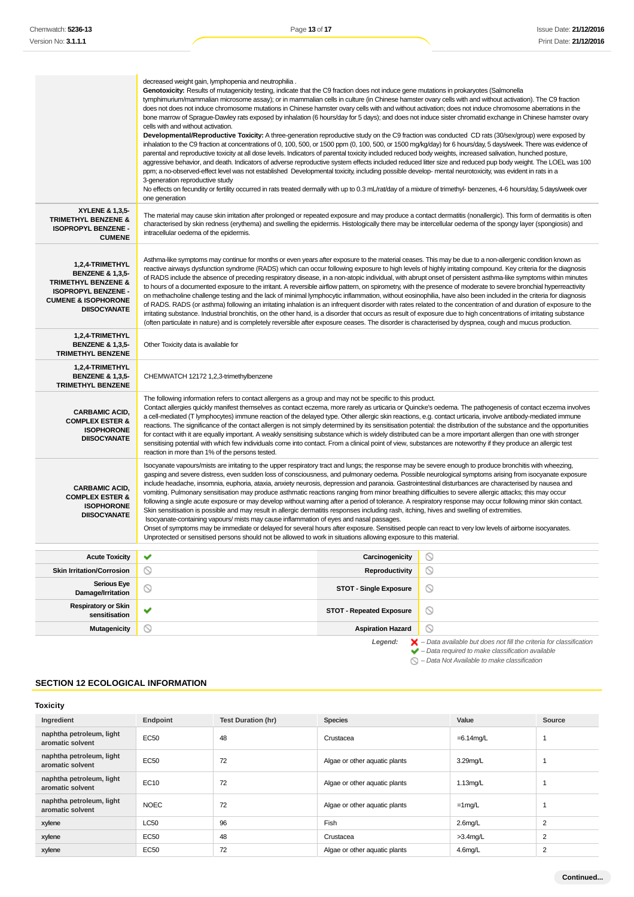|                                                                                                                                                                         | decreased weight gain, lymphopenia and neutrophilia.<br>Genotoxicity: Results of mutagenicity testing, indicate that the C9 fraction does not induce gene mutations in prokaryotes (Salmonella<br>tymphimurium/mammalian microsome assay); or in mammalian cells in culture (in Chinese hamster ovary cells with and without activation). The C9 fraction<br>does not does not induce chromosome mutations in Chinese hamster ovary cells with and without activation; does not induce chromosome aberrations in the<br>bone marrow of Sprague-Dawley rats exposed by inhalation (6 hours/day for 5 days); and does not induce sister chromatid exchange in Chinese hamster ovary<br>cells with and without activation.<br>Developmental/Reproductive Toxicity: A three-generation reproductive study on the C9 fraction was conducted CD rats (30/sex/group) were exposed by<br>inhalation to the C9 fraction at concentrations of 0, 100, 500, or 1500 ppm (0, 100, 500, or 1500 mg/kg/day) for 6 hours/day, 5 days/week. There was evidence of<br>parental and reproductive toxicity at all dose levels. Indicators of parental toxicity included reduced body weights, increased salivation, hunched posture,<br>aggressive behavior, and death. Indicators of adverse reproductive system effects included reduced litter size and reduced pup body weight. The LOEL was 100<br>ppm; a no-observed-effect level was not established Developmental toxicity, including possible develop- mental neurotoxicity, was evident in rats in a<br>3-generation reproductive study<br>No effects on fecundity or fertility occurred in rats treated dermally with up to 0.3 mL/rat/day of a mixture of trimethyl- benzenes, 4-6 hours/day, 5 days/week over<br>one generation |                                                                                                                                                                                                                                                                                                                                |  |  |
|-------------------------------------------------------------------------------------------------------------------------------------------------------------------------|---------------------------------------------------------------------------------------------------------------------------------------------------------------------------------------------------------------------------------------------------------------------------------------------------------------------------------------------------------------------------------------------------------------------------------------------------------------------------------------------------------------------------------------------------------------------------------------------------------------------------------------------------------------------------------------------------------------------------------------------------------------------------------------------------------------------------------------------------------------------------------------------------------------------------------------------------------------------------------------------------------------------------------------------------------------------------------------------------------------------------------------------------------------------------------------------------------------------------------------------------------------------------------------------------------------------------------------------------------------------------------------------------------------------------------------------------------------------------------------------------------------------------------------------------------------------------------------------------------------------------------------------------------------------------------------------------------------------------------------------------------------------------|--------------------------------------------------------------------------------------------------------------------------------------------------------------------------------------------------------------------------------------------------------------------------------------------------------------------------------|--|--|
| XYLENE & 1,3,5-<br><b>TRIMETHYL BENZENE &amp;</b><br><b>ISOPROPYL BENZENE -</b><br><b>CUMENE</b>                                                                        | intracellular oedema of the epidermis.                                                                                                                                                                                                                                                                                                                                                                                                                                                                                                                                                                                                                                                                                                                                                                                                                                                                                                                                                                                                                                                                                                                                                                                                                                                                                                                                                                                                                                                                                                                                                                                                                                                                                                                                    | The material may cause skin irritation after prolonged or repeated exposure and may produce a contact dermatitis (nonallergic). This form of dermatitis is often<br>characterised by skin redness (erythema) and swelling the epidermis. Histologically there may be intercellular oedema of the spongy layer (spongiosis) and |  |  |
| 1,2,4-TRIMETHYL<br><b>BENZENE &amp; 1,3,5-</b><br><b>TRIMETHYL BENZENE &amp;</b><br><b>ISOPROPYL BENZENE -</b><br><b>CUMENE &amp; ISOPHORONE</b><br><b>DIISOCYANATE</b> | Asthma-like symptoms may continue for months or even years after exposure to the material ceases. This may be due to a non-allergenic condition known as<br>reactive airways dysfunction syndrome (RADS) which can occur following exposure to high levels of highly irritating compound. Key criteria for the diagnosis<br>of RADS include the absence of preceding respiratory disease, in a non-atopic individual, with abrupt onset of persistent asthma-like symptoms within minutes<br>to hours of a documented exposure to the irritant. A reversible airflow pattern, on spirometry, with the presence of moderate to severe bronchial hyperreactivity<br>on methacholine challenge testing and the lack of minimal lymphocytic inflammation, without eosinophilia, have also been included in the criteria for diagnosis<br>of RADS. RADS (or asthma) following an irritating inhalation is an infrequent disorder with rates related to the concentration of and duration of exposure to the<br>irritating substance. Industrial bronchitis, on the other hand, is a disorder that occurs as result of exposure due to high concentrations of irritating substance<br>(often particulate in nature) and is completely reversible after exposure ceases. The disorder is characterised by dyspnea, cough and mucus production.                                                                                                                                                                                                                                                                                                                                                                                                                                   |                                                                                                                                                                                                                                                                                                                                |  |  |
| 1,2,4-TRIMETHYL<br><b>BENZENE &amp; 1,3,5-</b><br><b>TRIMETHYL BENZENE</b>                                                                                              | Other Toxicity data is available for                                                                                                                                                                                                                                                                                                                                                                                                                                                                                                                                                                                                                                                                                                                                                                                                                                                                                                                                                                                                                                                                                                                                                                                                                                                                                                                                                                                                                                                                                                                                                                                                                                                                                                                                      |                                                                                                                                                                                                                                                                                                                                |  |  |
| 1,2,4-TRIMETHYL<br><b>BENZENE &amp; 1,3,5-</b><br><b>TRIMETHYL BENZENE</b>                                                                                              | CHEMWATCH 12172 1,2,3-trimethylbenzene                                                                                                                                                                                                                                                                                                                                                                                                                                                                                                                                                                                                                                                                                                                                                                                                                                                                                                                                                                                                                                                                                                                                                                                                                                                                                                                                                                                                                                                                                                                                                                                                                                                                                                                                    |                                                                                                                                                                                                                                                                                                                                |  |  |
| <b>CARBAMIC ACID,</b><br><b>COMPLEX ESTER &amp;</b><br><b>ISOPHORONE</b><br><b>DIISOCYANATE</b>                                                                         | The following information refers to contact allergens as a group and may not be specific to this product.<br>Contact allergies quickly manifest themselves as contact eczema, more rarely as urticaria or Quincke's oedema. The pathogenesis of contact eczema involves<br>a cell-mediated (T lymphocytes) immune reaction of the delayed type. Other allergic skin reactions, e.g. contact urticaria, involve antibody-mediated immune<br>reactions. The significance of the contact allergen is not simply determined by its sensitisation potential: the distribution of the substance and the opportunities<br>for contact with it are equally important. A weakly sensitising substance which is widely distributed can be a more important allergen than one with stronger<br>sensitising potential with which few individuals come into contact. From a clinical point of view, substances are noteworthy if they produce an allergic test<br>reaction in more than 1% of the persons tested.                                                                                                                                                                                                                                                                                                                                                                                                                                                                                                                                                                                                                                                                                                                                                                      |                                                                                                                                                                                                                                                                                                                                |  |  |
| <b>CARBAMIC ACID,</b><br><b>COMPLEX ESTER &amp;</b><br><b>ISOPHORONE</b><br><b>DIISOCYANATE</b>                                                                         | Isocyanate vapours/mists are irritating to the upper respiratory tract and lungs; the response may be severe enough to produce bronchitis with wheezing,<br>gasping and severe distress, even sudden loss of consciousness, and pulmonary oedema. Possible neurological symptoms arising from isocyanate exposure<br>include headache, insomnia, euphoria, ataxia, anxiety neurosis, depression and paranoia. Gastrointestinal disturbances are characterised by nausea and<br>vomiting. Pulmonary sensitisation may produce asthmatic reactions ranging from minor breathing difficulties to severe allergic attacks; this may occur<br>following a single acute exposure or may develop without warning after a period of tolerance. A respiratory response may occur following minor skin contact.<br>Skin sensitisation is possible and may result in allergic dermatitis responses including rash, itching, hives and swelling of extremities.<br>Isocyanate-containing vapours/ mists may cause inflammation of eyes and nasal passages.<br>Onset of symptoms may be immediate or delayed for several hours after exposure. Sensitised people can react to very low levels of airborne isocyanates.<br>Unprotected or sensitised persons should not be allowed to work in situations allowing exposure to this material.                                                                                                                                                                                                                                                                                                                                                                                                                                            |                                                                                                                                                                                                                                                                                                                                |  |  |
| <b>Acute Toxicity</b>                                                                                                                                                   | ✔<br>Carcinogenicity                                                                                                                                                                                                                                                                                                                                                                                                                                                                                                                                                                                                                                                                                                                                                                                                                                                                                                                                                                                                                                                                                                                                                                                                                                                                                                                                                                                                                                                                                                                                                                                                                                                                                                                                                      | $\circlearrowright$                                                                                                                                                                                                                                                                                                            |  |  |
| <b>Skin Irritation/Corrosion</b>                                                                                                                                        | ◎<br><b>Reproductivity</b>                                                                                                                                                                                                                                                                                                                                                                                                                                                                                                                                                                                                                                                                                                                                                                                                                                                                                                                                                                                                                                                                                                                                                                                                                                                                                                                                                                                                                                                                                                                                                                                                                                                                                                                                                | $\circledcirc$                                                                                                                                                                                                                                                                                                                 |  |  |
| <b>Serious Eye</b><br>Damage/Irritation                                                                                                                                 | $\circledcirc$<br><b>STOT - Single Exposure</b>                                                                                                                                                                                                                                                                                                                                                                                                                                                                                                                                                                                                                                                                                                                                                                                                                                                                                                                                                                                                                                                                                                                                                                                                                                                                                                                                                                                                                                                                                                                                                                                                                                                                                                                           | $\circledcirc$                                                                                                                                                                                                                                                                                                                 |  |  |
| <b>Respiratory or Skin</b><br>sensitisation                                                                                                                             | ✔<br><b>STOT - Repeated Exposure</b>                                                                                                                                                                                                                                                                                                                                                                                                                                                                                                                                                                                                                                                                                                                                                                                                                                                                                                                                                                                                                                                                                                                                                                                                                                                                                                                                                                                                                                                                                                                                                                                                                                                                                                                                      | $\circledcirc$                                                                                                                                                                                                                                                                                                                 |  |  |
| <b>Mutagenicity</b>                                                                                                                                                     | $\circledcirc$<br><b>Aspiration Hazard</b>                                                                                                                                                                                                                                                                                                                                                                                                                                                                                                                                                                                                                                                                                                                                                                                                                                                                                                                                                                                                                                                                                                                                                                                                                                                                                                                                                                                                                                                                                                                                                                                                                                                                                                                                | $\circledcirc$                                                                                                                                                                                                                                                                                                                 |  |  |
|                                                                                                                                                                         | Legend:                                                                                                                                                                                                                                                                                                                                                                                                                                                                                                                                                                                                                                                                                                                                                                                                                                                                                                                                                                                                                                                                                                                                                                                                                                                                                                                                                                                                                                                                                                                                                                                                                                                                                                                                                                   | $\blacktriangleright$ - Data available but does not fill the criteria for classification<br>$\blacktriangleright$ - Data required to make classification available                                                                                                                                                             |  |  |

– Data Not Available to make classification

## **SECTION 12 ECOLOGICAL INFORMATION**

| <b>Toxicity</b>                              |             |                           |                               |              |        |
|----------------------------------------------|-------------|---------------------------|-------------------------------|--------------|--------|
| Ingredient                                   | Endpoint    | <b>Test Duration (hr)</b> | <b>Species</b>                | Value        | Source |
| naphtha petroleum, light<br>aromatic solvent | EC50        | 48                        | Crustacea                     | $=6.14$ mg/L |        |
| naphtha petroleum, light<br>aromatic solvent | EC50        | 72                        | Algae or other aquatic plants | 3.29mg/L     |        |
| naphtha petroleum, light<br>aromatic solvent | EC10        | 72                        | Algae or other aquatic plants | $1.13$ mg/L  |        |
| naphtha petroleum, light<br>aromatic solvent | <b>NOEC</b> | 72                        | Algae or other aquatic plants | $=1$ mg/L    |        |
| xylene                                       | <b>LC50</b> | 96                        | Fish                          | $2.6$ mg/L   | 2      |
| xylene                                       | EC50        | 48                        | Crustacea                     | $>3.4$ mg/L  | 2      |
| xylene                                       | EC50        | 72                        | Algae or other aquatic plants | 4.6mg/L      | 2      |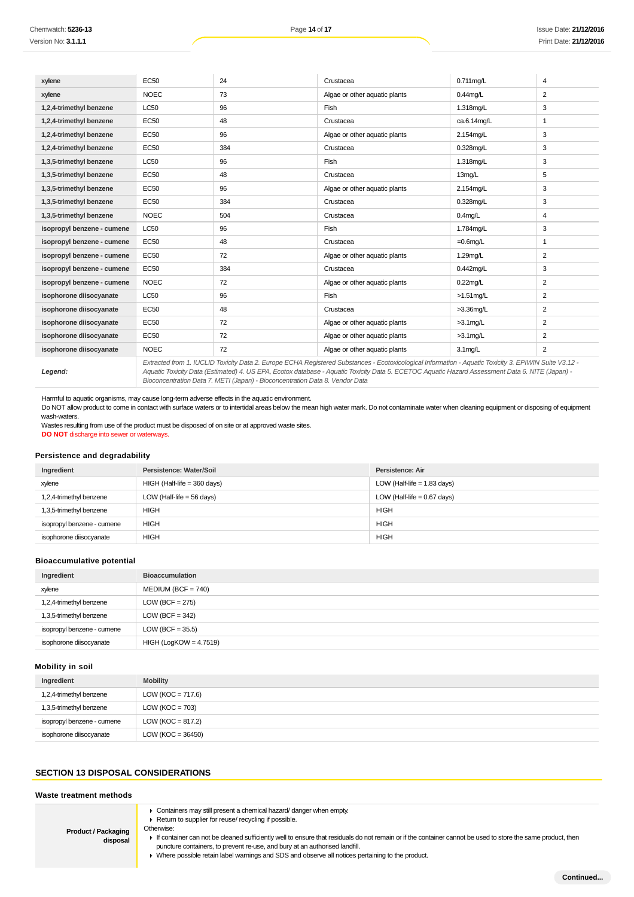| xylene                     | <b>EC50</b> | 24  | Crustacea                                                                                                                                             | $0.711$ mg/L | 4              |
|----------------------------|-------------|-----|-------------------------------------------------------------------------------------------------------------------------------------------------------|--------------|----------------|
| xylene                     | <b>NOEC</b> | 73  | Algae or other aquatic plants                                                                                                                         | $0.44$ mg/L  | 2              |
| 1,2,4-trimethyl benzene    | <b>LC50</b> | 96  | Fish                                                                                                                                                  | 1.318mg/L    | 3              |
| 1,2,4-trimethyl benzene    | <b>EC50</b> | 48  | Crustacea                                                                                                                                             | ca.6.14mg/L  | 1              |
| 1,2,4-trimethyl benzene    | <b>EC50</b> | 96  | Algae or other aquatic plants                                                                                                                         | 2.154mg/L    | 3              |
| 1,2,4-trimethyl benzene    | <b>EC50</b> | 384 | Crustacea                                                                                                                                             | 0.328mg/L    | 3              |
| 1,3,5-trimethyl benzene    | <b>LC50</b> | 96  | Fish                                                                                                                                                  | 1.318mg/L    | 3              |
| 1,3,5-trimethyl benzene    | <b>EC50</b> | 48  | Crustacea                                                                                                                                             | 13mg/L       | 5              |
| 1,3,5-trimethyl benzene    | <b>EC50</b> | 96  | Algae or other aquatic plants                                                                                                                         | 2.154mg/L    | 3              |
| 1,3,5-trimethyl benzene    | <b>EC50</b> | 384 | Crustacea                                                                                                                                             | 0.328mg/L    | 3              |
| 1,3,5-trimethyl benzene    | <b>NOEC</b> | 504 | Crustacea                                                                                                                                             | $0.4$ mg/L   | 4              |
| isopropyl benzene - cumene | LC50        | 96  | Fish                                                                                                                                                  | 1.784mg/L    | 3              |
| isopropyl benzene - cumene | <b>EC50</b> | 48  | Crustacea                                                                                                                                             | $=0.6$ mg/L  | 1              |
| isopropyl benzene - cumene | <b>EC50</b> | 72  | Algae or other aquatic plants                                                                                                                         | 1.29mg/L     | 2              |
| isopropyl benzene - cumene | <b>EC50</b> | 384 | Crustacea                                                                                                                                             | 0.442mg/L    | 3              |
| isopropyl benzene - cumene | <b>NOEC</b> | 72  | Algae or other aquatic plants                                                                                                                         | $0.22$ mg/L  | 2              |
| isophorone diisocyanate    | <b>LC50</b> | 96  | Fish                                                                                                                                                  | $>1.51$ mg/L | 2              |
| isophorone diisocyanate    | <b>EC50</b> | 48  | Crustacea                                                                                                                                             | $>3.36$ mg/L | 2              |
| isophorone diisocyanate    | <b>EC50</b> | 72  | Algae or other aquatic plants                                                                                                                         | $>3.1$ mg/L  | 2              |
| isophorone diisocyanate    | <b>EC50</b> | 72  | Algae or other aquatic plants                                                                                                                         | $>3.1$ mg/L  | 2              |
| isophorone diisocyanate    | <b>NOEC</b> | 72  | Algae or other aquatic plants                                                                                                                         | $3.1$ mg/L   | $\overline{2}$ |
|                            |             |     | Extracted from 1. IUCLID Toxicity Data 2. Europe ECHA Registered Substances - Ecotoxicological Information - Aquatic Toxicity 3. EPIWIN Suite V3.12 - |              |                |

**Legend:**

Aquatic Toxicity Data (Estimated) 4. US EPA, Ecotox database - Aquatic Toxicity Data 5. ECETOC Aquatic Hazard Assessment Data 6. NITE (Japan) - Bioconcentration Data 7. METI (Japan) - Bioconcentration Data 8. Vendor Data

Harmful to aquatic organisms, may cause long-term adverse effects in the aquatic environment.

Do NOT allow product to come in contact with surface waters or to intertidal areas below the mean high water mark. Do not contaminate water when cleaning equipment or disposing of equipment wash-waters.

Wastes resulting from use of the product must be disposed of on site or at approved waste sites. **DO NOT** discharge into sewer or waterways.

### **Persistence and degradability**

| Ingredient                 | Persistence: Water/Soil       | Persistence: Air              |
|----------------------------|-------------------------------|-------------------------------|
| xylene                     | $HIGH$ (Half-life = 360 days) | LOW (Half-life $= 1.83$ days) |
| 1,2,4-trimethyl benzene    | LOW (Half-life $=$ 56 days)   | LOW (Half-life $= 0.67$ days) |
| 1,3,5-trimethyl benzene    | HIGH                          | <b>HIGH</b>                   |
| isopropyl benzene - cumene | HIGH                          | <b>HIGH</b>                   |
| isophorone diisocyanate    | HIGH                          | <b>HIGH</b>                   |

### **Bioaccumulative potential**

| Ingredient                 | <b>Bioaccumulation</b>   |
|----------------------------|--------------------------|
| xylene                     | $MEDIUM (BCF = 740)$     |
| 1,2,4-trimethyl benzene    | LOW (BCF = $275$ )       |
| 1,3,5-trimethyl benzene    | LOW (BCF = $342$ )       |
| isopropyl benzene - cumene | LOW (BCF = $35.5$ )      |
| isophorone diisocyanate    | $HIGH (LogKOW = 4.7519)$ |

#### **Mobility in soil**

| Ingredient                 | <b>Mobility</b>       |
|----------------------------|-----------------------|
| 1,2,4-trimethyl benzene    | LOW ( $KOC = 717.6$ ) |
| 1,3,5-trimethyl benzene    | LOW ( $KOC = 703$ )   |
| isopropyl benzene - cumene | LOW (KOC = $817.2$ )  |
| isophorone diisocyanate    | LOW ( $KOC = 36450$ ) |

### **SECTION 13 DISPOSAL CONSIDERATIONS**

#### **Waste treatment methods**

**Product / Packaging disposal**

Containers may still present a chemical hazard/ danger when empty.

▶ Return to supplier for reuse/ recycling if possible.

Otherwise:

- ► If container can not be cleaned sufficiently well to ensure that residuals do not remain or if the container cannot be used to store the same product, then puncture containers, to prevent re-use, and bury at an authorised landfill.
- Where possible retain label warnings and SDS and observe all notices pertaining to the product.

**Continued...**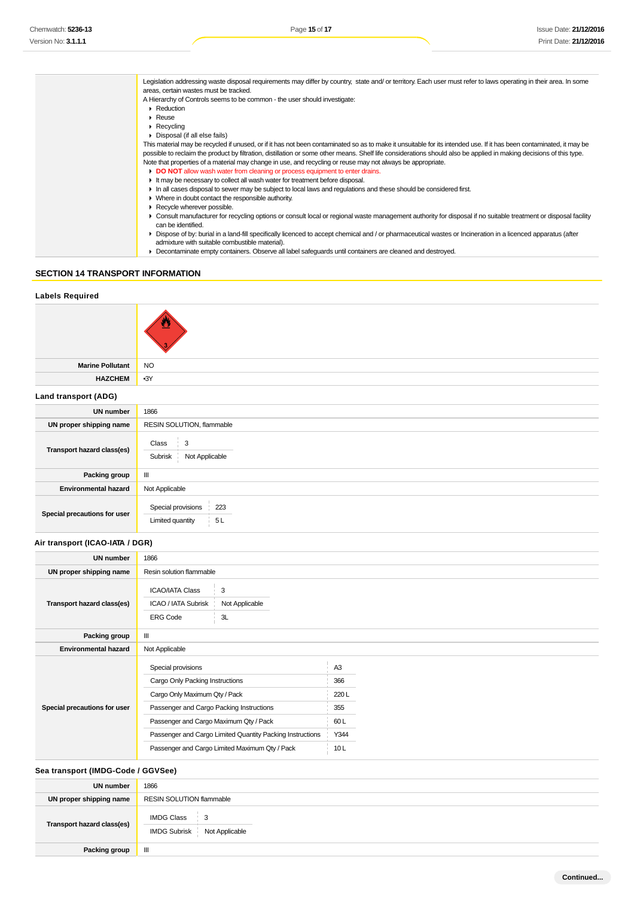| Legislation addressing waste disposal requirements may differ by country, state and/ or territory. Each user must refer to laws operating in their area. In some                                                |
|-----------------------------------------------------------------------------------------------------------------------------------------------------------------------------------------------------------------|
| areas, certain wastes must be tracked.                                                                                                                                                                          |
| A Hierarchy of Controls seems to be common - the user should investigate:                                                                                                                                       |
| $\triangleright$ Reduction                                                                                                                                                                                      |
| $\triangleright$ Reuse                                                                                                                                                                                          |
| $\triangleright$ Recycling                                                                                                                                                                                      |
| • Disposal (if all else fails)                                                                                                                                                                                  |
| This material may be recycled if unused, or if it has not been contaminated so as to make it unsuitable for its intended use. If it has been contaminated, it may be                                            |
| possible to reclaim the product by filtration, distillation or some other means. Shelf life considerations should also be applied in making decisions of this type.                                             |
| Note that properties of a material may change in use, and recycling or reuse may not always be appropriate.                                                                                                     |
| DO NOT allow wash water from cleaning or process equipment to enter drains.                                                                                                                                     |
| It may be necessary to collect all wash water for treatment before disposal.                                                                                                                                    |
| In all cases disposal to sewer may be subject to local laws and regulations and these should be considered first.                                                                                               |
| $\blacktriangleright$ Where in doubt contact the responsible authority.                                                                                                                                         |
| Recycle wherever possible.                                                                                                                                                                                      |
| • Consult manufacturer for recycling options or consult local or regional waste management authority for disposal if no suitable treatment or disposal facility<br>can be identified.                           |
| • Dispose of by: burial in a land-fill specifically licenced to accept chemical and / or pharmaceutical wastes or Incineration in a licenced apparatus (after<br>admixture with suitable combustible material). |
| • Decontaminate empty containers. Observe all label safeguards until containers are cleaned and destroyed.                                                                                                      |

# **SECTION 14 TRANSPORT INFORMATION**

# **Labels Required Marine Pollutant** NO **HAZCHEM** •3Y **Land transport (ADG) UN number** 1866 **UN proper shipping name** RESIN SOLUTION, flammable **Transport hazard class(es)** Class 3 Subrisk Not Applicable **Packing group** III **Environmental hazard** Not Applicable **Special precautions for user** Special provisions 223 Limited quantity 5L **Air transport (ICAO-IATA / DGR) UN number** 1866 **UN proper shipping name** Resin solution flammable **Transport hazard class(es)**  $ICAO/IATA Class$   $3$ ICAO / IATA Subrisk Not Applicable ERG Code 3L **Packing group** III **Environmental hazard** Not Applicable **Special precautions for user** Special provisions A3 Cargo Only Packing Instructions 366 Cargo Only Maximum Qty / Pack 220 L Passenger and Cargo Packing Instructions 355 Passenger and Cargo Maximum Qty / Pack 60 L Passenger and Cargo Limited Quantity Packing Instructions Y344 Passenger and Cargo Limited Maximum Qty / Pack 10 L

### **Sea transport (IMDG-Code / GGVSee)**

| <b>UN number</b>           | 1866                                                                |  |  |
|----------------------------|---------------------------------------------------------------------|--|--|
| UN proper shipping name    | RESIN SOLUTION flammable                                            |  |  |
| Transport hazard class(es) | <b>IMDG Class</b><br>$\frac{1}{2}$ 3<br>IMDG Subrisk Not Applicable |  |  |
| Packing group              | $\mathbf{m}$                                                        |  |  |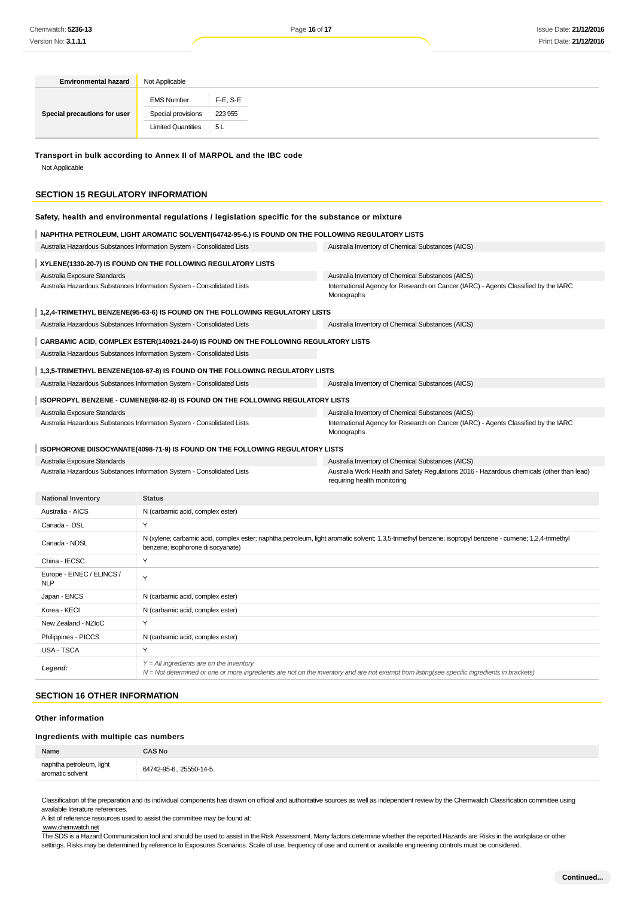| <b>Environmental hazard</b>                                                                                                      | Not Applicable                                                                                                                                                                                |                                                                                                  |                                                                                                                          |  |  |
|----------------------------------------------------------------------------------------------------------------------------------|-----------------------------------------------------------------------------------------------------------------------------------------------------------------------------------------------|--------------------------------------------------------------------------------------------------|--------------------------------------------------------------------------------------------------------------------------|--|--|
|                                                                                                                                  | <b>EMS Number</b>                                                                                                                                                                             | $F-E$ , S-E                                                                                      |                                                                                                                          |  |  |
| Special precautions for user                                                                                                     | Special provisions                                                                                                                                                                            | 223 955                                                                                          |                                                                                                                          |  |  |
|                                                                                                                                  | <b>Limited Quantities</b>                                                                                                                                                                     | 5L                                                                                               |                                                                                                                          |  |  |
| Transport in bulk according to Annex II of MARPOL and the IBC code<br>Not Applicable<br><b>SECTION 15 REGULATORY INFORMATION</b> |                                                                                                                                                                                               |                                                                                                  |                                                                                                                          |  |  |
|                                                                                                                                  |                                                                                                                                                                                               |                                                                                                  |                                                                                                                          |  |  |
|                                                                                                                                  |                                                                                                                                                                                               | Safety, health and environmental regulations / legislation specific for the substance or mixture |                                                                                                                          |  |  |
|                                                                                                                                  | NAPHTHA PETROLEUM, LIGHT AROMATIC SOLVENT(64742-95-6.) IS FOUND ON THE FOLLOWING REGULATORY LISTS                                                                                             |                                                                                                  |                                                                                                                          |  |  |
| Australia Hazardous Substances Information System - Consolidated Lists                                                           |                                                                                                                                                                                               |                                                                                                  | Australia Inventory of Chemical Substances (AICS)                                                                        |  |  |
| XYLENE(1330-20-7) IS FOUND ON THE FOLLOWING REGULATORY LISTS                                                                     |                                                                                                                                                                                               |                                                                                                  |                                                                                                                          |  |  |
| Australia Exposure Standards                                                                                                     |                                                                                                                                                                                               |                                                                                                  | Australia Inventory of Chemical Substances (AICS)                                                                        |  |  |
| Australia Hazardous Substances Information System - Consolidated Lists                                                           |                                                                                                                                                                                               |                                                                                                  | International Agency for Research on Cancer (IARC) - Agents Classified by the IARC<br>Monographs                         |  |  |
|                                                                                                                                  |                                                                                                                                                                                               | 1,2,4-TRIMETHYL BENZENE(95-63-6) IS FOUND ON THE FOLLOWING REGULATORY LISTS                      |                                                                                                                          |  |  |
| Australia Hazardous Substances Information System - Consolidated Lists                                                           |                                                                                                                                                                                               |                                                                                                  | Australia Inventory of Chemical Substances (AICS)                                                                        |  |  |
|                                                                                                                                  |                                                                                                                                                                                               | CARBAMIC ACID, COMPLEX ESTER(140921-24-0) IS FOUND ON THE FOLLOWING REGULATORY LISTS             |                                                                                                                          |  |  |
| Australia Hazardous Substances Information System - Consolidated Lists                                                           |                                                                                                                                                                                               |                                                                                                  |                                                                                                                          |  |  |
|                                                                                                                                  |                                                                                                                                                                                               | 1,3,5-TRIMETHYL BENZENE(108-67-8) IS FOUND ON THE FOLLOWING REGULATORY LISTS                     |                                                                                                                          |  |  |
| Australia Hazardous Substances Information System - Consolidated Lists                                                           |                                                                                                                                                                                               |                                                                                                  | Australia Inventory of Chemical Substances (AICS)                                                                        |  |  |
|                                                                                                                                  |                                                                                                                                                                                               | ISOPROPYL BENZENE - CUMENE(98-82-8) IS FOUND ON THE FOLLOWING REGULATORY LISTS                   |                                                                                                                          |  |  |
| Australia Exposure Standards                                                                                                     |                                                                                                                                                                                               |                                                                                                  | Australia Inventory of Chemical Substances (AICS)                                                                        |  |  |
| Australia Hazardous Substances Information System - Consolidated Lists                                                           |                                                                                                                                                                                               |                                                                                                  | International Agency for Research on Cancer (IARC) - Agents Classified by the IARC<br>Monographs                         |  |  |
|                                                                                                                                  |                                                                                                                                                                                               | ISOPHORONE DIISOCYANATE(4098-71-9) IS FOUND ON THE FOLLOWING REGULATORY LISTS                    |                                                                                                                          |  |  |
| Australia Exposure Standards                                                                                                     |                                                                                                                                                                                               |                                                                                                  | Australia Inventory of Chemical Substances (AICS)                                                                        |  |  |
| Australia Hazardous Substances Information System - Consolidated Lists                                                           |                                                                                                                                                                                               |                                                                                                  | Australia Work Health and Safety Regulations 2016 - Hazardous chemicals (other than lead)<br>requiring health monitoring |  |  |
| <b>National Inventory</b>                                                                                                        | <b>Status</b>                                                                                                                                                                                 |                                                                                                  |                                                                                                                          |  |  |
| Australia - AICS                                                                                                                 | N (carbamic acid, complex ester)                                                                                                                                                              |                                                                                                  |                                                                                                                          |  |  |
| Canada - DSL                                                                                                                     | Y                                                                                                                                                                                             |                                                                                                  |                                                                                                                          |  |  |
| Canada - NDSL                                                                                                                    | N (xylene; carbamic acid, complex ester; naphtha petroleum, light aromatic solvent; 1,3,5-trimethyl benzene; isopropyl benzene - cumene; 1,2,4-trimethyl<br>benzene; isophorone diisocyanate) |                                                                                                  |                                                                                                                          |  |  |
| China - IECSC                                                                                                                    | Υ                                                                                                                                                                                             |                                                                                                  |                                                                                                                          |  |  |
| Europe - EINEC / ELINCS /<br><b>NLP</b>                                                                                          | Y                                                                                                                                                                                             |                                                                                                  |                                                                                                                          |  |  |
| Japan - ENCS                                                                                                                     | N (carbamic acid, complex ester)                                                                                                                                                              |                                                                                                  |                                                                                                                          |  |  |
| Korea - KECI                                                                                                                     | N (carbamic acid, complex ester)                                                                                                                                                              |                                                                                                  |                                                                                                                          |  |  |
| New Zealand - NZIoC                                                                                                              | Υ                                                                                                                                                                                             |                                                                                                  |                                                                                                                          |  |  |
| Philippines - PICCS                                                                                                              | N (carbamic acid, complex ester)                                                                                                                                                              |                                                                                                  |                                                                                                                          |  |  |
| USA - TSCA                                                                                                                       | Υ                                                                                                                                                                                             |                                                                                                  |                                                                                                                          |  |  |
| Legend:                                                                                                                          | $Y = All$ ingredients are on the inventory<br>N = Not determined or one or more ingredients are not on the inventory and are not exempt from listing(see specific ingredients in brackets)    |                                                                                                  |                                                                                                                          |  |  |
| <b>SECTION 16 OTHER INFORMATION</b>                                                                                              |                                                                                                                                                                                               |                                                                                                  |                                                                                                                          |  |  |
| <b>Other information</b>                                                                                                         |                                                                                                                                                                                               |                                                                                                  |                                                                                                                          |  |  |

### **Ingredients with multiple cas numbers**

| Name                                              | AS No |
|---------------------------------------------------|-------|
| naphtha petroleum, light<br>aromatic solvent<br>. |       |
|                                                   |       |

Classification of the preparation and its individual components has drawn on official and authoritative sources as well as independent review by the Chemwatch Classification committee using available literature references.

A list of reference resources used to assist the committee may be found at:

#### www.chemwatch.net

The SDS is a Hazard Communication tool and should be used to assist in the Risk Assessment. Many factors determine whether the reported Hazards are Risks in the workplace or other settings. Risks may be determined by reference to Exposures Scenarios. Scale of use, frequency of use and current or available engineering controls must be considered.